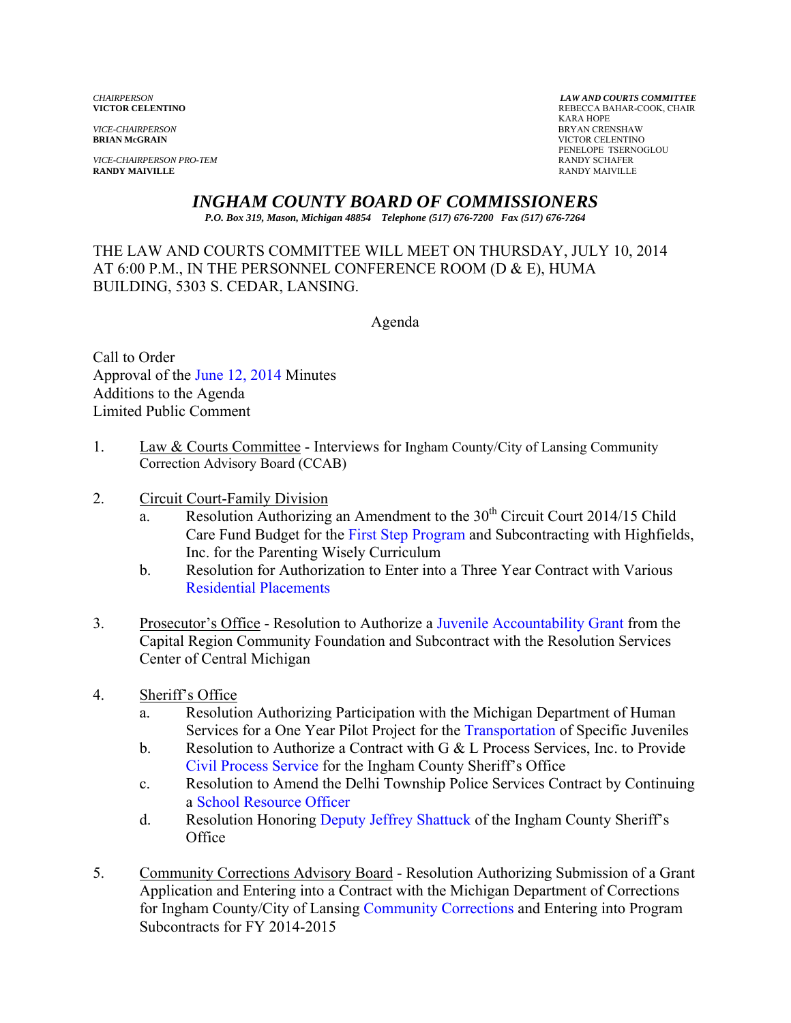*VICE-CHAIRPERSON* BRYAN CRENSHAW

*VICE-CHAIRPERSON PRO-TEM* **RANDY SCHAFER**<br> **RANDY MAIVILLE RANDY SCHAFER RANDY MAIVILLE** RANDY MAIVILLE

*CHAIRPERSON LAW AND COURTS COMMITTEE* REBECCA BAHAR-COOK, CHAIR<br>KARA HOPE KARA HOPE **VICTOR CELENTINO** PENELOPE TSERNOGLOU<br>RANDY SCHAFER

# *INGHAM COUNTY BOARD OF COMMISSIONERS*

*P.O. Box 319, Mason, Michigan 48854 Telephone (517) 676-7200 Fax (517) 676-7264*

#### THE LAW AND COURTS COMMITTEE WILL MEET ON THURSDAY, JULY 10, 2014 AT  $6:00$  P.M., IN THE PERSONNEL CONFERENCE ROOM (D  $\&$  E), HUMA BUILDING, 5303 S. CEDAR, LANSING.

Agenda

Call to Order Approval [of the June 12, 2014 Minutes](#page-2-0)  Additions to the Agenda Limited Public Comment

1. Law & Courts Committee - Interviews for Ingham County/City of Lansing Community Correction Advisory Board (CCAB)

#### 2. Circuit Court-Family Division

- a. Resolution Authorizing an Amendment to the  $30<sup>th</sup>$  Circuit Court 2014/15 Child Care Fund Budget fo[r the First Step Program and Subcon](#page-10-0)tracting with Highfields, Inc. for the Parenting Wisely Curriculum
- b. Resolution for Authorization to Enter into a Three Year Contract with Various [Residential Placements](#page-12-0)
- 3. Prosecutor's Office Resolution to Authoriz[e a Juvenile Accountability Grant from the](#page-15-0)  Capital Region Community Foundation and Subcontract with the Resolution Services Center of Central Michigan
- 4. Sheriff's Office
	- a. Resolution Authorizing Participation wi[th the Michigan Department of](#page-17-0) Human Services for a One Year Pilot Project for the Transportation of Specific Juveniles
	- b. Resolution to Authorize a Contract with G & L Process Services, Inc. to Provide [Civil Process Service for the](#page-19-0) Ingham County Sheriff's Office
	- c. Resolution to Amend the Delhi Township Police Services Contract by Continuing [a School Resource Officer](#page-21-0)
	- d. Resolution Honoring Deputy [Jeffrey Shattuck of the Ing](#page-23-0)ham County Sheriff's **Office**
- 5. Community Corrections Advisory Board Resolution Authorizing Submission of a Grant Application and Entering into a Contract with the Michigan Department of Corrections for Ingham County/City of Lan[sing Community Corrections](#page-25-0) and Entering into Program Subcontracts for FY 2014-2015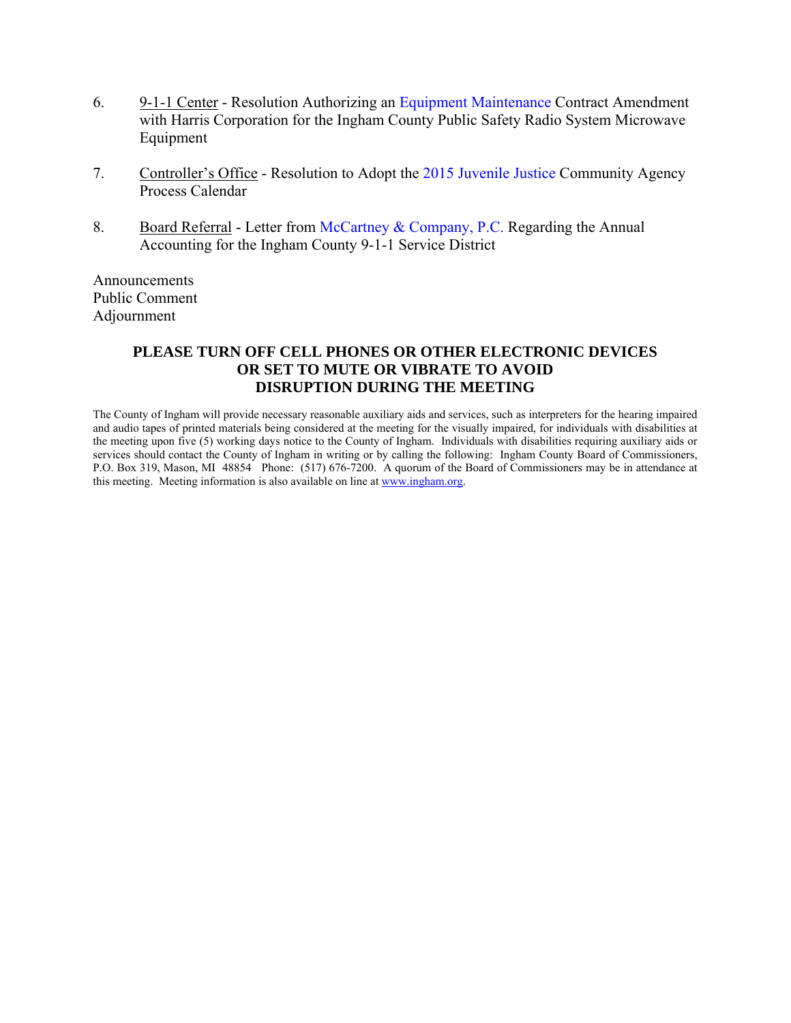- 6. 9-1-1 Center Resolution Authorizin[g an Equipment Maintenance Contract Amen](#page-28-0)dment with Harris Corporation for the Ingham County Public Safety Radio System Microwave Equipment
- 7. Controller's Office Resolution to Adopt t[he 2015 Juvenile Justice Community Ag](#page-30-0)ency Process Calendar
- 8. Board Referral Letter f[rom McCartney & Company, P.C. Regarding](#page-33-0) the Annual Accounting for the Ingham County 9-1-1 Service District

Announcements Public Comment Adjournment

#### **PLEASE TURN OFF CELL PHONES OR OTHER ELECTRONIC DEVICES OR SET TO MUTE OR VIBRATE TO AVOID DISRUPTION DURING THE MEETING**

The County of Ingham will provide necessary reasonable auxiliary aids and services, such as interpreters for the hearing impaired and audio tapes of printed materials being considered at the meeting for the visually impaired, for individuals with disabilities at the meeting upon five (5) working days notice to the County of Ingham. Individuals with disabilities requiring auxiliary aids or services should contact the County of Ingham in writing or by calling the following: Ingham County Board of Commissioners, P.O. Box 319, Mason, MI 48854 Phone: (517) 676-7200. A quorum of the Board of Commissioners may be in attendance at this meeting. Meeting information is also available on line at www.ingham.org.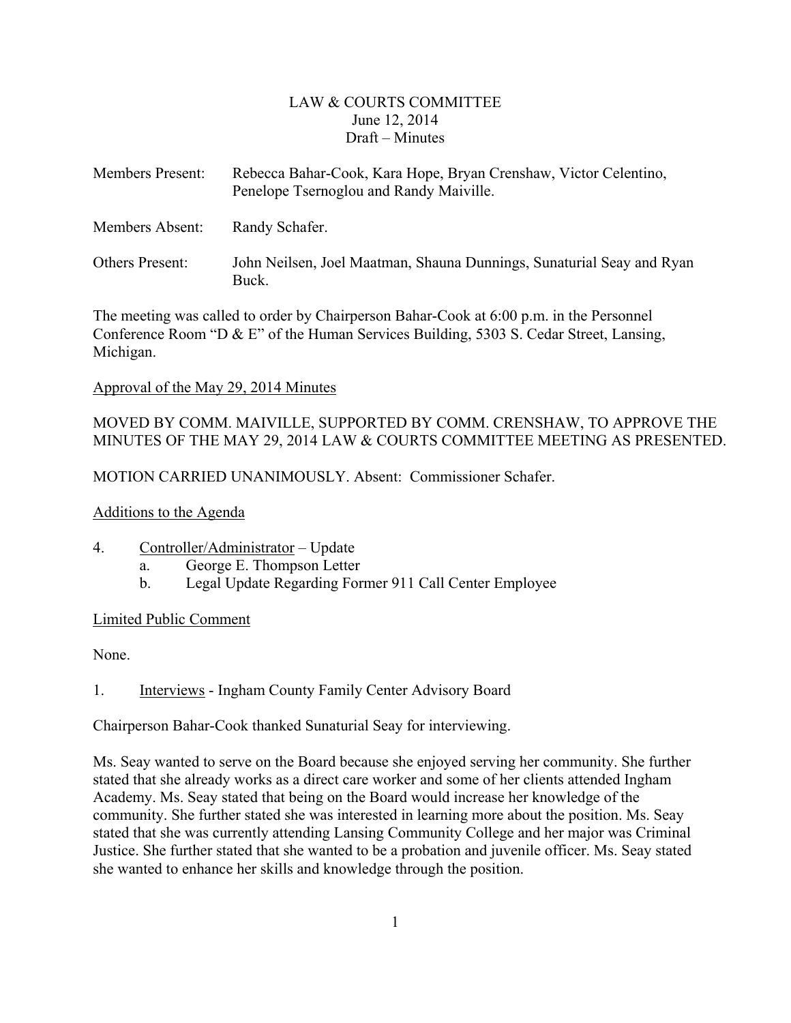#### LAW & COURTS COMMITTEE June 12, 2014 Draft – Minutes

<span id="page-2-0"></span>

| Members Present: | Rebecca Bahar-Cook, Kara Hope, Bryan Crenshaw, Victor Celentino,<br>Penelope Tsernoglou and Randy Maiville. |
|------------------|-------------------------------------------------------------------------------------------------------------|
| Members Absent:  | Randy Schafer.                                                                                              |
| Others Present:  | John Neilsen, Joel Maatman, Shauna Dunnings, Sunaturial Seay and Ryan<br>Buck.                              |

The meeting was called to order by Chairperson Bahar-Cook at 6:00 p.m. in the Personnel Conference Room "D & E" of the Human Services Building, 5303 S. Cedar Street, Lansing, Michigan.

#### Approval of the May 29, 2014 Minutes

### MOVED BY COMM. MAIVILLE, SUPPORTED BY COMM. CRENSHAW, TO APPROVE THE MINUTES OF THE MAY 29, 2014 LAW & COURTS COMMITTEE MEETING AS PRESENTED.

MOTION CARRIED UNANIMOUSLY. Absent: Commissioner Schafer.

#### Additions to the Agenda

- 4. Controller/Administrator Update
	- a. George E. Thompson Letter
	- b. Legal Update Regarding Former 911 Call Center Employee

#### Limited Public Comment

None.

1. Interviews - Ingham County Family Center Advisory Board

Chairperson Bahar-Cook thanked Sunaturial Seay for interviewing.

Ms. Seay wanted to serve on the Board because she enjoyed serving her community. She further stated that she already works as a direct care worker and some of her clients attended Ingham Academy. Ms. Seay stated that being on the Board would increase her knowledge of the community. She further stated she was interested in learning more about the position. Ms. Seay stated that she was currently attending Lansing Community College and her major was Criminal Justice. She further stated that she wanted to be a probation and juvenile officer. Ms. Seay stated she wanted to enhance her skills and knowledge through the position.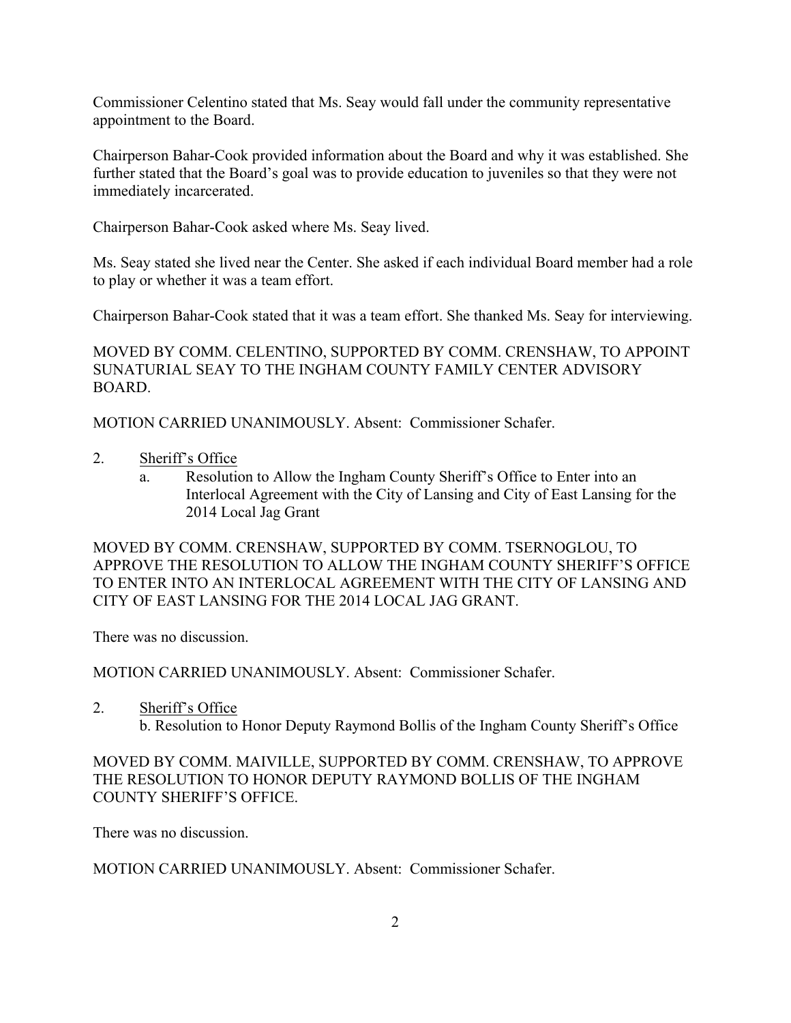Commissioner Celentino stated that Ms. Seay would fall under the community representative appointment to the Board.

Chairperson Bahar-Cook provided information about the Board and why it was established. She further stated that the Board's goal was to provide education to juveniles so that they were not immediately incarcerated.

Chairperson Bahar-Cook asked where Ms. Seay lived.

Ms. Seay stated she lived near the Center. She asked if each individual Board member had a role to play or whether it was a team effort.

Chairperson Bahar-Cook stated that it was a team effort. She thanked Ms. Seay for interviewing.

MOVED BY COMM. CELENTINO, SUPPORTED BY COMM. CRENSHAW, TO APPOINT SUNATURIAL SEAY TO THE INGHAM COUNTY FAMILY CENTER ADVISORY BOARD.

MOTION CARRIED UNANIMOUSLY. Absent: Commissioner Schafer.

- 2. Sheriff's Office
	- a. Resolution to Allow the Ingham County Sheriff's Office to Enter into an Interlocal Agreement with the City of Lansing and City of East Lansing for the 2014 Local Jag Grant

MOVED BY COMM. CRENSHAW, SUPPORTED BY COMM. TSERNOGLOU, TO APPROVE THE RESOLUTION TO ALLOW THE INGHAM COUNTY SHERIFF'S OFFICE TO ENTER INTO AN INTERLOCAL AGREEMENT WITH THE CITY OF LANSING AND CITY OF EAST LANSING FOR THE 2014 LOCAL JAG GRANT.

There was no discussion.

MOTION CARRIED UNANIMOUSLY. Absent: Commissioner Schafer.

2. Sheriff's Office

b. Resolution to Honor Deputy Raymond Bollis of the Ingham County Sheriff's Office

MOVED BY COMM. MAIVILLE, SUPPORTED BY COMM. CRENSHAW, TO APPROVE THE RESOLUTION TO HONOR DEPUTY RAYMOND BOLLIS OF THE INGHAM COUNTY SHERIFF'S OFFICE.

There was no discussion.

MOTION CARRIED UNANIMOUSLY. Absent: Commissioner Schafer.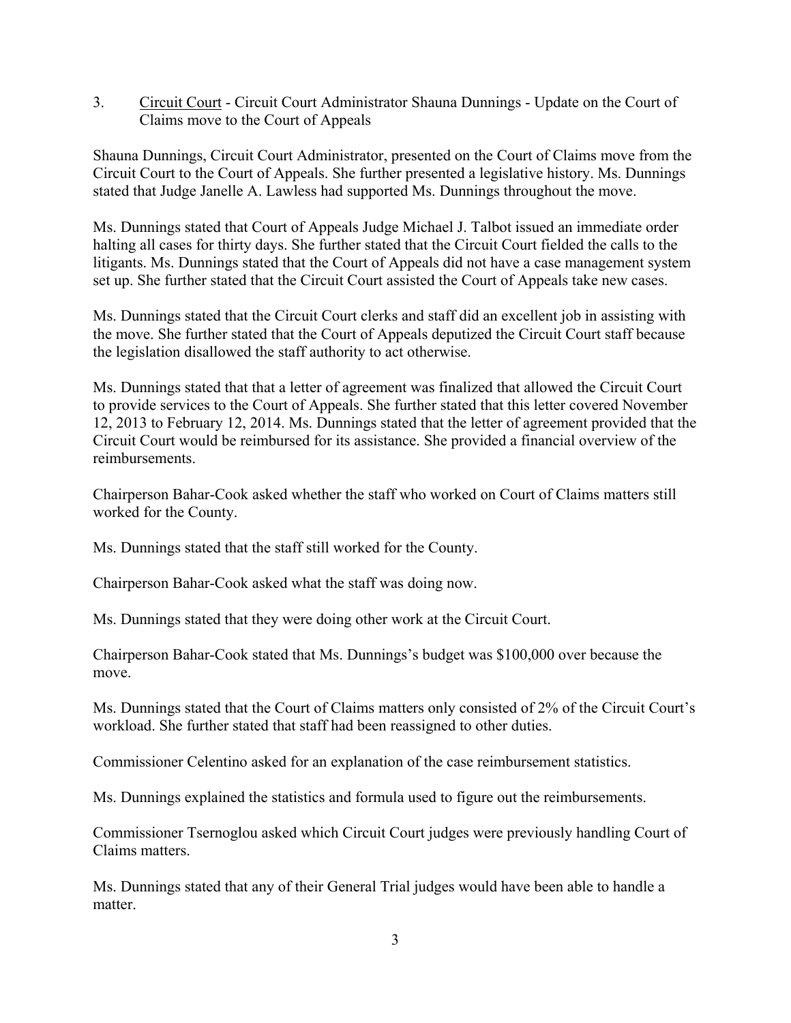3. Circuit Court - Circuit Court Administrator Shauna Dunnings - Update on the Court of Claims move to the Court of Appeals

Shauna Dunnings, Circuit Court Administrator, presented on the Court of Claims move from the Circuit Court to the Court of Appeals. She further presented a legislative history. Ms. Dunnings stated that Judge Janelle A. Lawless had supported Ms. Dunnings throughout the move.

Ms. Dunnings stated that Court of Appeals Judge Michael J. Talbot issued an immediate order halting all cases for thirty days. She further stated that the Circuit Court fielded the calls to the litigants. Ms. Dunnings stated that the Court of Appeals did not have a case management system set up. She further stated that the Circuit Court assisted the Court of Appeals take new cases.

Ms. Dunnings stated that the Circuit Court clerks and staff did an excellent job in assisting with the move. She further stated that the Court of Appeals deputized the Circuit Court staff because the legislation disallowed the staff authority to act otherwise.

Ms. Dunnings stated that that a letter of agreement was finalized that allowed the Circuit Court to provide services to the Court of Appeals. She further stated that this letter covered November 12, 2013 to February 12, 2014. Ms. Dunnings stated that the letter of agreement provided that the Circuit Court would be reimbursed for its assistance. She provided a financial overview of the reimbursements.

Chairperson Bahar-Cook asked whether the staff who worked on Court of Claims matters still worked for the County.

Ms. Dunnings stated that the staff still worked for the County.

Chairperson Bahar-Cook asked what the staff was doing now.

Ms. Dunnings stated that they were doing other work at the Circuit Court.

Chairperson Bahar-Cook stated that Ms. Dunnings's budget was \$100,000 over because the move.

Ms. Dunnings stated that the Court of Claims matters only consisted of 2% of the Circuit Court's workload. She further stated that staff had been reassigned to other duties.

Commissioner Celentino asked for an explanation of the case reimbursement statistics.

Ms. Dunnings explained the statistics and formula used to figure out the reimbursements.

Commissioner Tsernoglou asked which Circuit Court judges were previously handling Court of Claims matters.

Ms. Dunnings stated that any of their General Trial judges would have been able to handle a matter.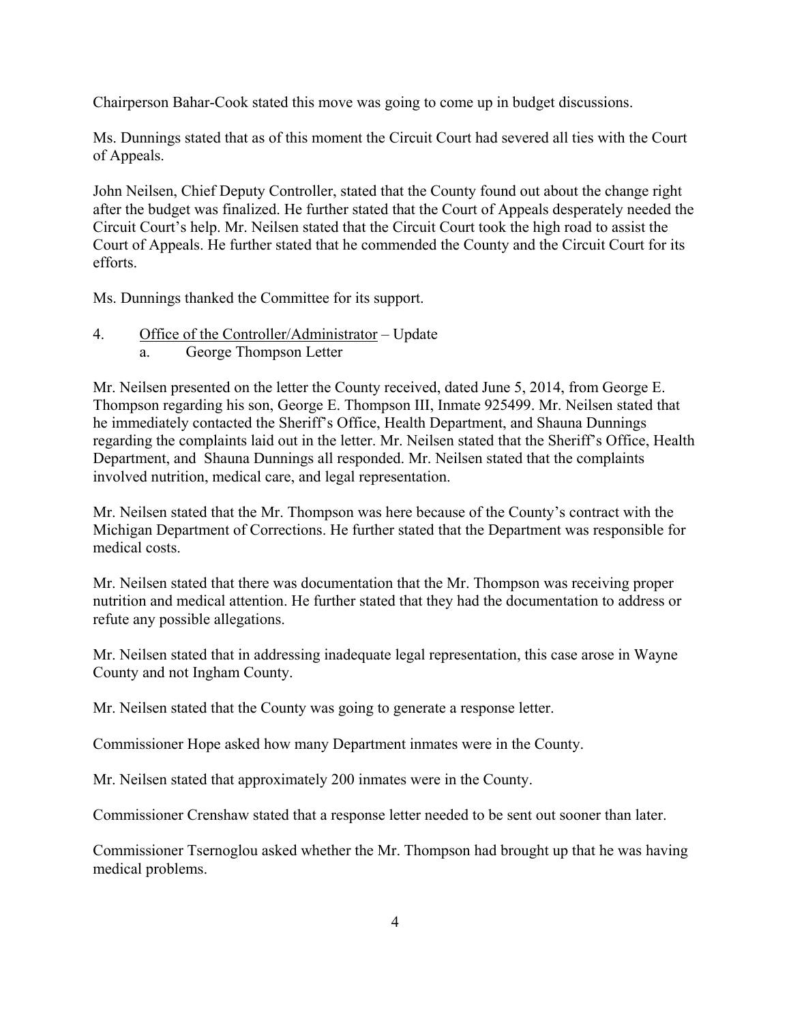Chairperson Bahar-Cook stated this move was going to come up in budget discussions.

Ms. Dunnings stated that as of this moment the Circuit Court had severed all ties with the Court of Appeals.

John Neilsen, Chief Deputy Controller, stated that the County found out about the change right after the budget was finalized. He further stated that the Court of Appeals desperately needed the Circuit Court's help. Mr. Neilsen stated that the Circuit Court took the high road to assist the Court of Appeals. He further stated that he commended the County and the Circuit Court for its efforts.

Ms. Dunnings thanked the Committee for its support.

4. Office of the Controller/Administrator – Update a. George Thompson Letter

Mr. Neilsen presented on the letter the County received, dated June 5, 2014, from George E. Thompson regarding his son, George E. Thompson III, Inmate 925499. Mr. Neilsen stated that he immediately contacted the Sheriff's Office, Health Department, and Shauna Dunnings regarding the complaints laid out in the letter. Mr. Neilsen stated that the Sheriff's Office, Health Department, and Shauna Dunnings all responded. Mr. Neilsen stated that the complaints involved nutrition, medical care, and legal representation.

Mr. Neilsen stated that the Mr. Thompson was here because of the County's contract with the Michigan Department of Corrections. He further stated that the Department was responsible for medical costs.

Mr. Neilsen stated that there was documentation that the Mr. Thompson was receiving proper nutrition and medical attention. He further stated that they had the documentation to address or refute any possible allegations.

Mr. Neilsen stated that in addressing inadequate legal representation, this case arose in Wayne County and not Ingham County.

Mr. Neilsen stated that the County was going to generate a response letter.

Commissioner Hope asked how many Department inmates were in the County.

Mr. Neilsen stated that approximately 200 inmates were in the County.

Commissioner Crenshaw stated that a response letter needed to be sent out sooner than later.

Commissioner Tsernoglou asked whether the Mr. Thompson had brought up that he was having medical problems.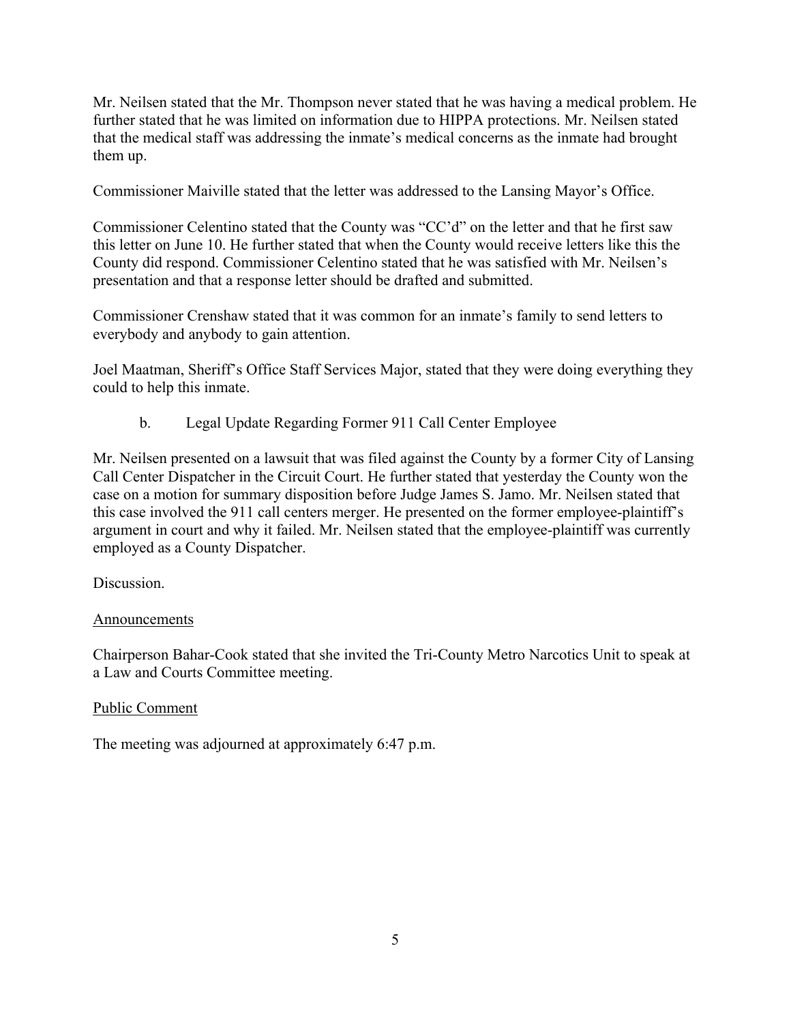Mr. Neilsen stated that the Mr. Thompson never stated that he was having a medical problem. He further stated that he was limited on information due to HIPPA protections. Mr. Neilsen stated that the medical staff was addressing the inmate's medical concerns as the inmate had brought them up.

Commissioner Maiville stated that the letter was addressed to the Lansing Mayor's Office.

Commissioner Celentino stated that the County was "CC'd" on the letter and that he first saw this letter on June 10. He further stated that when the County would receive letters like this the County did respond. Commissioner Celentino stated that he was satisfied with Mr. Neilsen's presentation and that a response letter should be drafted and submitted.

Commissioner Crenshaw stated that it was common for an inmate's family to send letters to everybody and anybody to gain attention.

Joel Maatman, Sheriff's Office Staff Services Major, stated that they were doing everything they could to help this inmate.

b. Legal Update Regarding Former 911 Call Center Employee

Mr. Neilsen presented on a lawsuit that was filed against the County by a former City of Lansing Call Center Dispatcher in the Circuit Court. He further stated that yesterday the County won the case on a motion for summary disposition before Judge James S. Jamo. Mr. Neilsen stated that this case involved the 911 call centers merger. He presented on the former employee-plaintiff's argument in court and why it failed. Mr. Neilsen stated that the employee-plaintiff was currently employed as a County Dispatcher.

Discussion.

#### Announcements

Chairperson Bahar-Cook stated that she invited the Tri-County Metro Narcotics Unit to speak at a Law and Courts Committee meeting.

#### Public Comment

The meeting was adjourned at approximately 6:47 p.m.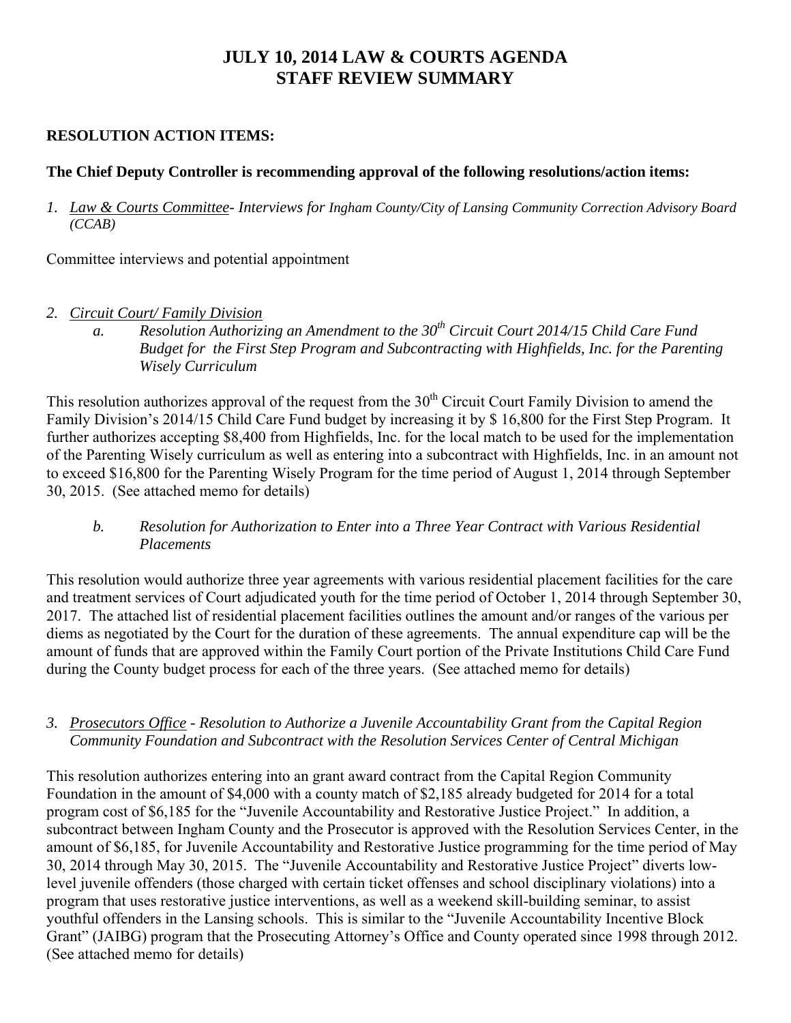# **JULY 10, 2014 LAW & COURTS AGENDA STAFF REVIEW SUMMARY**

## **RESOLUTION ACTION ITEMS:**

## **The Chief Deputy Controller is recommending approval of the following resolutions/action items:**

*1. Law & Courts Committee- Interviews for Ingham County/City of Lansing Community Correction Advisory Board (CCAB)* 

Committee interviews and potential appointment

- *2. Circuit Court/ Family Division* 
	- *a. Resolution Authorizing an Amendment to the 30th Circuit Court 2014/15 Child Care Fund Budget for the First Step Program and Subcontracting with Highfields, Inc. for the Parenting Wisely Curriculum*

This resolution authorizes approval of the request from the  $30<sup>th</sup>$  Circuit Court Family Division to amend the Family Division's 2014/15 Child Care Fund budget by increasing it by \$ 16,800 for the First Step Program. It further authorizes accepting \$8,400 from Highfields, Inc. for the local match to be used for the implementation of the Parenting Wisely curriculum as well as entering into a subcontract with Highfields, Inc. in an amount not to exceed \$16,800 for the Parenting Wisely Program for the time period of August 1, 2014 through September 30, 2015. (See attached memo for details)

*b. Resolution for Authorization to Enter into a Three Year Contract with Various Residential Placements* 

This resolution would authorize three year agreements with various residential placement facilities for the care and treatment services of Court adjudicated youth for the time period of October 1, 2014 through September 30, 2017. The attached list of residential placement facilities outlines the amount and/or ranges of the various per diems as negotiated by the Court for the duration of these agreements. The annual expenditure cap will be the amount of funds that are approved within the Family Court portion of the Private Institutions Child Care Fund during the County budget process for each of the three years. (See attached memo for details)

#### *3. Prosecutors Office - Resolution to Authorize a Juvenile Accountability Grant from the Capital Region Community Foundation and Subcontract with the Resolution Services Center of Central Michigan*

This resolution authorizes entering into an grant award contract from the Capital Region Community Foundation in the amount of \$4,000 with a county match of \$2,185 already budgeted for 2014 for a total program cost of \$6,185 for the "Juvenile Accountability and Restorative Justice Project." In addition, a subcontract between Ingham County and the Prosecutor is approved with the Resolution Services Center, in the amount of \$6,185, for Juvenile Accountability and Restorative Justice programming for the time period of May 30, 2014 through May 30, 2015. The "Juvenile Accountability and Restorative Justice Project" diverts lowlevel juvenile offenders (those charged with certain ticket offenses and school disciplinary violations) into a program that uses restorative justice interventions, as well as a weekend skill-building seminar, to assist youthful offenders in the Lansing schools. This is similar to the "Juvenile Accountability Incentive Block Grant" (JAIBG) program that the Prosecuting Attorney's Office and County operated since 1998 through 2012. (See attached memo for details)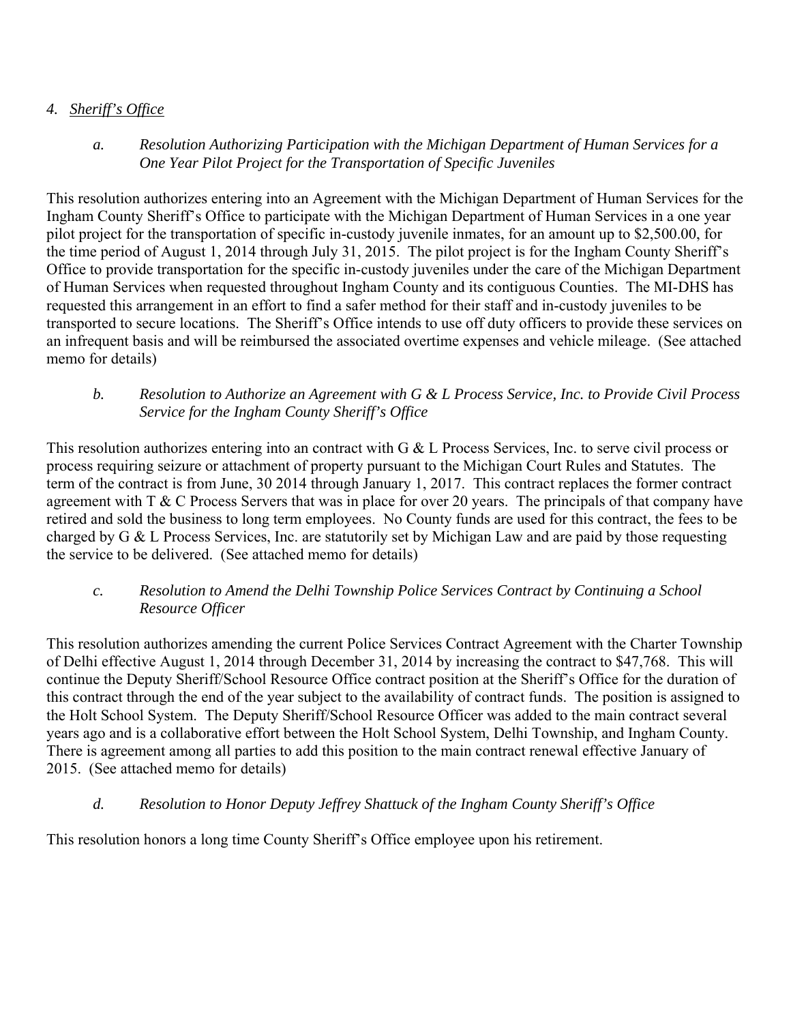## *4. Sheriff's Office*

*a. Resolution Authorizing Participation with the Michigan Department of Human Services for a One Year Pilot Project for the Transportation of Specific Juveniles* 

This resolution authorizes entering into an Agreement with the Michigan Department of Human Services for the Ingham County Sheriff's Office to participate with the Michigan Department of Human Services in a one year pilot project for the transportation of specific in-custody juvenile inmates, for an amount up to \$2,500.00, for the time period of August 1, 2014 through July 31, 2015. The pilot project is for the Ingham County Sheriff's Office to provide transportation for the specific in-custody juveniles under the care of the Michigan Department of Human Services when requested throughout Ingham County and its contiguous Counties. The MI-DHS has requested this arrangement in an effort to find a safer method for their staff and in-custody juveniles to be transported to secure locations. The Sheriff's Office intends to use off duty officers to provide these services on an infrequent basis and will be reimbursed the associated overtime expenses and vehicle mileage. (See attached memo for details)

*b. Resolution to Authorize an Agreement with G & L Process Service, Inc. to Provide Civil Process Service for the Ingham County Sheriff's Office* 

This resolution authorizes entering into an contract with G & L Process Services, Inc. to serve civil process or process requiring seizure or attachment of property pursuant to the Michigan Court Rules and Statutes. The term of the contract is from June, 30 2014 through January 1, 2017. This contract replaces the former contract agreement with T & C Process Servers that was in place for over 20 years. The principals of that company have retired and sold the business to long term employees. No County funds are used for this contract, the fees to be charged by G & L Process Services, Inc. are statutorily set by Michigan Law and are paid by those requesting the service to be delivered. (See attached memo for details)

#### *c. Resolution to Amend the Delhi Township Police Services Contract by Continuing a School Resource Officer*

This resolution authorizes amending the current Police Services Contract Agreement with the Charter Township of Delhi effective August 1, 2014 through December 31, 2014 by increasing the contract to \$47,768. This will continue the Deputy Sheriff/School Resource Office contract position at the Sheriff's Office for the duration of this contract through the end of the year subject to the availability of contract funds. The position is assigned to the Holt School System. The Deputy Sheriff/School Resource Officer was added to the main contract several years ago and is a collaborative effort between the Holt School System, Delhi Township, and Ingham County. There is agreement among all parties to add this position to the main contract renewal effective January of 2015. (See attached memo for details)

# *d. Resolution to Honor Deputy Jeffrey Shattuck of the Ingham County Sheriff's Office*

This resolution honors a long time County Sheriff's Office employee upon his retirement.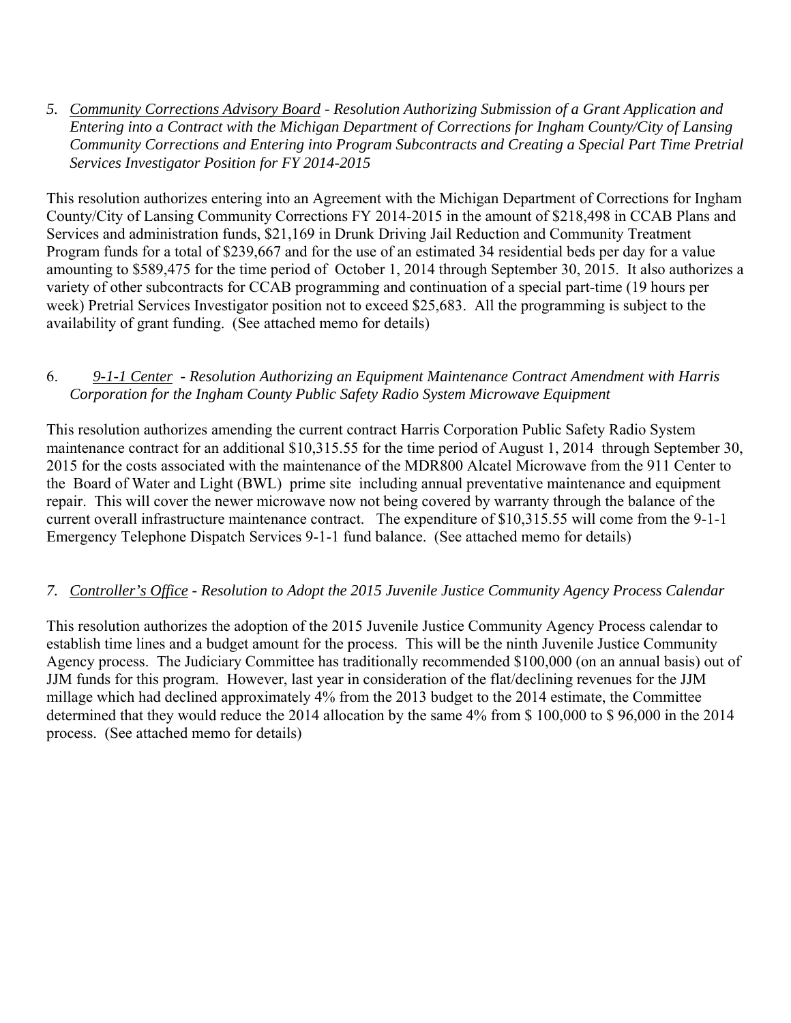*5. Community Corrections Advisory Board - Resolution Authorizing Submission of a Grant Application and Entering into a Contract with the Michigan Department of Corrections for Ingham County/City of Lansing Community Corrections and Entering into Program Subcontracts and Creating a Special Part Time Pretrial Services Investigator Position for FY 2014-2015* 

This resolution authorizes entering into an Agreement with the Michigan Department of Corrections for Ingham County/City of Lansing Community Corrections FY 2014-2015 in the amount of \$218,498 in CCAB Plans and Services and administration funds, \$21,169 in Drunk Driving Jail Reduction and Community Treatment Program funds for a total of \$239,667 and for the use of an estimated 34 residential beds per day for a value amounting to \$589,475 for the time period of October 1, 2014 through September 30, 2015. It also authorizes a variety of other subcontracts for CCAB programming and continuation of a special part-time (19 hours per week) Pretrial Services Investigator position not to exceed \$25,683. All the programming is subject to the availability of grant funding. (See attached memo for details)

#### 6. *9-1-1 Center - Resolution Authorizing an Equipment Maintenance Contract Amendment with Harris Corporation for the Ingham County Public Safety Radio System Microwave Equipment*

This resolution authorizes amending the current contract Harris Corporation Public Safety Radio System maintenance contract for an additional \$10,315.55 for the time period of August 1, 2014 through September 30, 2015 for the costs associated with the maintenance of the MDR800 Alcatel Microwave from the 911 Center to the Board of Water and Light (BWL) prime site including annual preventative maintenance and equipment repair. This will cover the newer microwave now not being covered by warranty through the balance of the current overall infrastructure maintenance contract. The expenditure of \$10,315.55 will come from the 9-1-1 Emergency Telephone Dispatch Services 9-1-1 fund balance. (See attached memo for details)

# *7. Controller's Office - Resolution to Adopt the 2015 Juvenile Justice Community Agency Process Calendar*

This resolution authorizes the adoption of the 2015 Juvenile Justice Community Agency Process calendar to establish time lines and a budget amount for the process. This will be the ninth Juvenile Justice Community Agency process. The Judiciary Committee has traditionally recommended \$100,000 (on an annual basis) out of JJM funds for this program. However, last year in consideration of the flat/declining revenues for the JJM millage which had declined approximately 4% from the 2013 budget to the 2014 estimate, the Committee determined that they would reduce the 2014 allocation by the same 4% from \$ 100,000 to \$ 96,000 in the 2014 process. (See attached memo for details)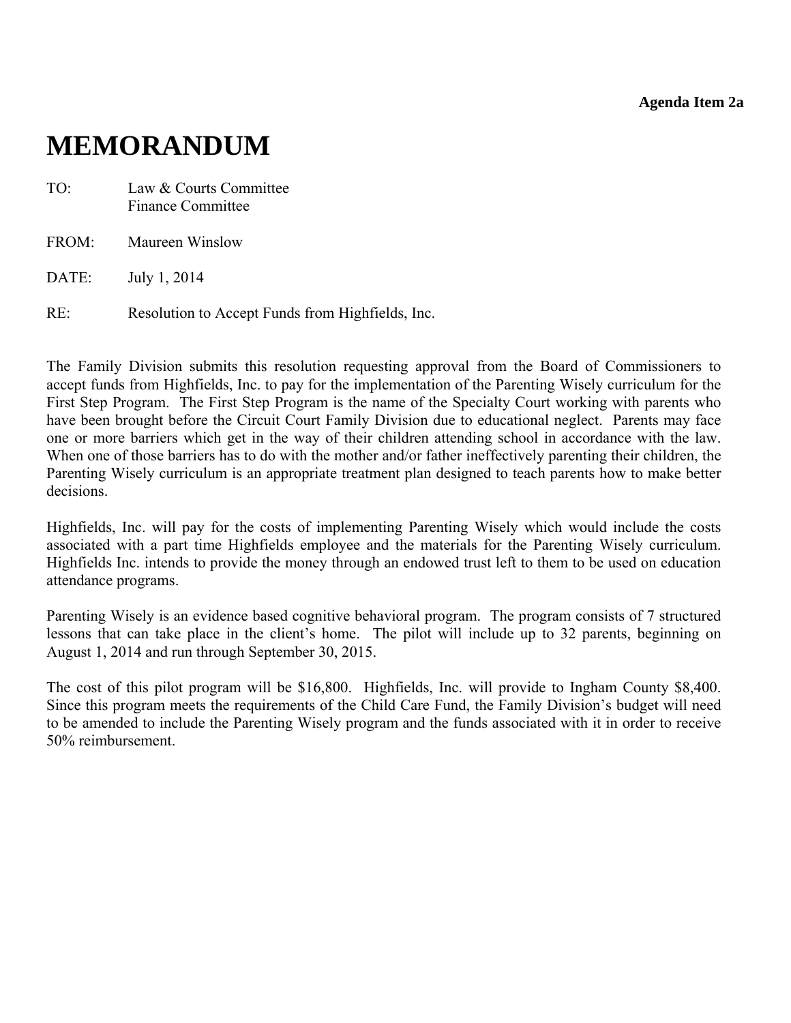**Agenda Item 2a** 

# <span id="page-10-0"></span>**MEMORANDUM**

- TO: Law & Courts Committee Finance Committee
- FROM: Maureen Winslow

DATE: July 1, 2014

RE: Resolution to Accept Funds from Highfields, Inc.

The Family Division submits this resolution requesting approval from the Board of Commissioners to accept funds from Highfields, Inc. to pay for the implementation of the Parenting Wisely curriculum for the First Step Program. The First Step Program is the name of the Specialty Court working with parents who have been brought before the Circuit Court Family Division due to educational neglect. Parents may face one or more barriers which get in the way of their children attending school in accordance with the law. When one of those barriers has to do with the mother and/or father ineffectively parenting their children, the Parenting Wisely curriculum is an appropriate treatment plan designed to teach parents how to make better decisions.

Highfields, Inc. will pay for the costs of implementing Parenting Wisely which would include the costs associated with a part time Highfields employee and the materials for the Parenting Wisely curriculum. Highfields Inc. intends to provide the money through an endowed trust left to them to be used on education attendance programs.

Parenting Wisely is an evidence based cognitive behavioral program. The program consists of 7 structured lessons that can take place in the client's home. The pilot will include up to 32 parents, beginning on August 1, 2014 and run through September 30, 2015.

The cost of this pilot program will be \$16,800. Highfields, Inc. will provide to Ingham County \$8,400. Since this program meets the requirements of the Child Care Fund, the Family Division's budget will need to be amended to include the Parenting Wisely program and the funds associated with it in order to receive 50% reimbursement.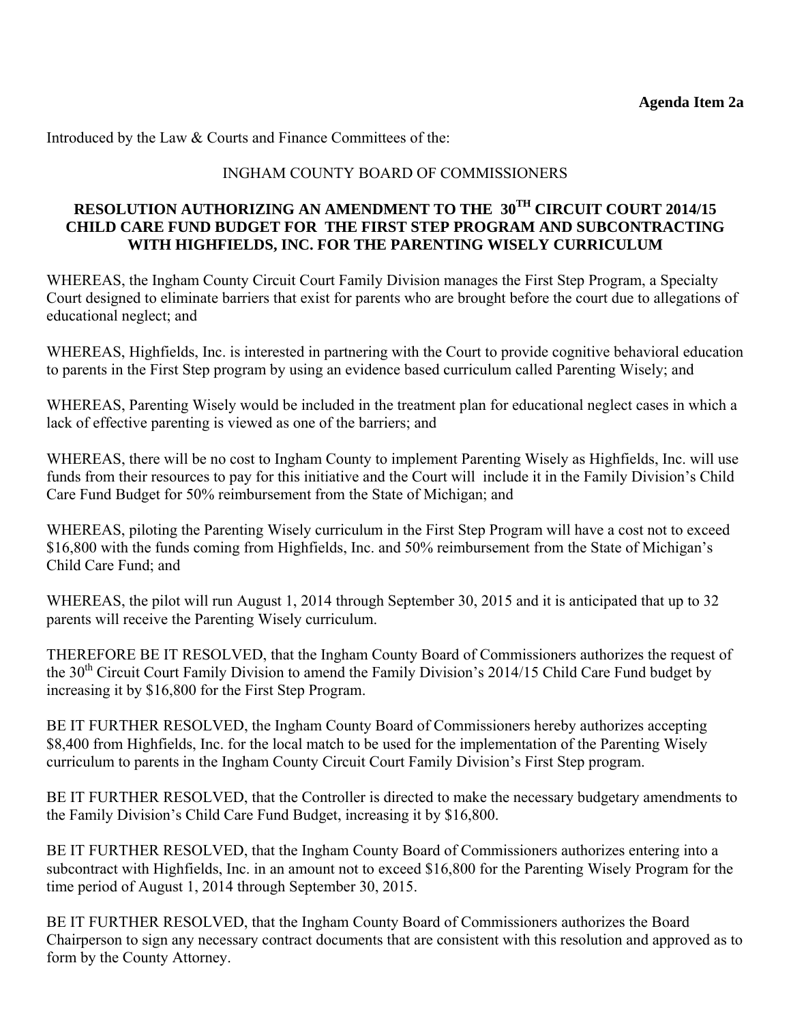Introduced by the Law & Courts and Finance Committees of the:

## INGHAM COUNTY BOARD OF COMMISSIONERS

## **RESOLUTION AUTHORIZING AN AMENDMENT TO THE 30TH CIRCUIT COURT 2014/15 CHILD CARE FUND BUDGET FOR THE FIRST STEP PROGRAM AND SUBCONTRACTING WITH HIGHFIELDS, INC. FOR THE PARENTING WISELY CURRICULUM**

WHEREAS, the Ingham County Circuit Court Family Division manages the First Step Program, a Specialty Court designed to eliminate barriers that exist for parents who are brought before the court due to allegations of educational neglect; and

WHEREAS, Highfields, Inc. is interested in partnering with the Court to provide cognitive behavioral education to parents in the First Step program by using an evidence based curriculum called Parenting Wisely; and

WHEREAS, Parenting Wisely would be included in the treatment plan for educational neglect cases in which a lack of effective parenting is viewed as one of the barriers; and

WHEREAS, there will be no cost to Ingham County to implement Parenting Wisely as Highfields, Inc. will use funds from their resources to pay for this initiative and the Court will include it in the Family Division's Child Care Fund Budget for 50% reimbursement from the State of Michigan; and

WHEREAS, piloting the Parenting Wisely curriculum in the First Step Program will have a cost not to exceed \$16,800 with the funds coming from Highfields, Inc. and 50% reimbursement from the State of Michigan's Child Care Fund; and

WHEREAS, the pilot will run August 1, 2014 through September 30, 2015 and it is anticipated that up to 32 parents will receive the Parenting Wisely curriculum.

THEREFORE BE IT RESOLVED, that the Ingham County Board of Commissioners authorizes the request of the 30<sup>th</sup> Circuit Court Family Division to amend the Family Division's 2014/15 Child Care Fund budget by increasing it by \$16,800 for the First Step Program.

BE IT FURTHER RESOLVED, the Ingham County Board of Commissioners hereby authorizes accepting \$8,400 from Highfields, Inc. for the local match to be used for the implementation of the Parenting Wisely curriculum to parents in the Ingham County Circuit Court Family Division's First Step program.

BE IT FURTHER RESOLVED, that the Controller is directed to make the necessary budgetary amendments to the Family Division's Child Care Fund Budget, increasing it by \$16,800.

BE IT FURTHER RESOLVED, that the Ingham County Board of Commissioners authorizes entering into a subcontract with Highfields, Inc. in an amount not to exceed \$16,800 for the Parenting Wisely Program for the time period of August 1, 2014 through September 30, 2015.

BE IT FURTHER RESOLVED, that the Ingham County Board of Commissioners authorizes the Board Chairperson to sign any necessary contract documents that are consistent with this resolution and approved as to form by the County Attorney.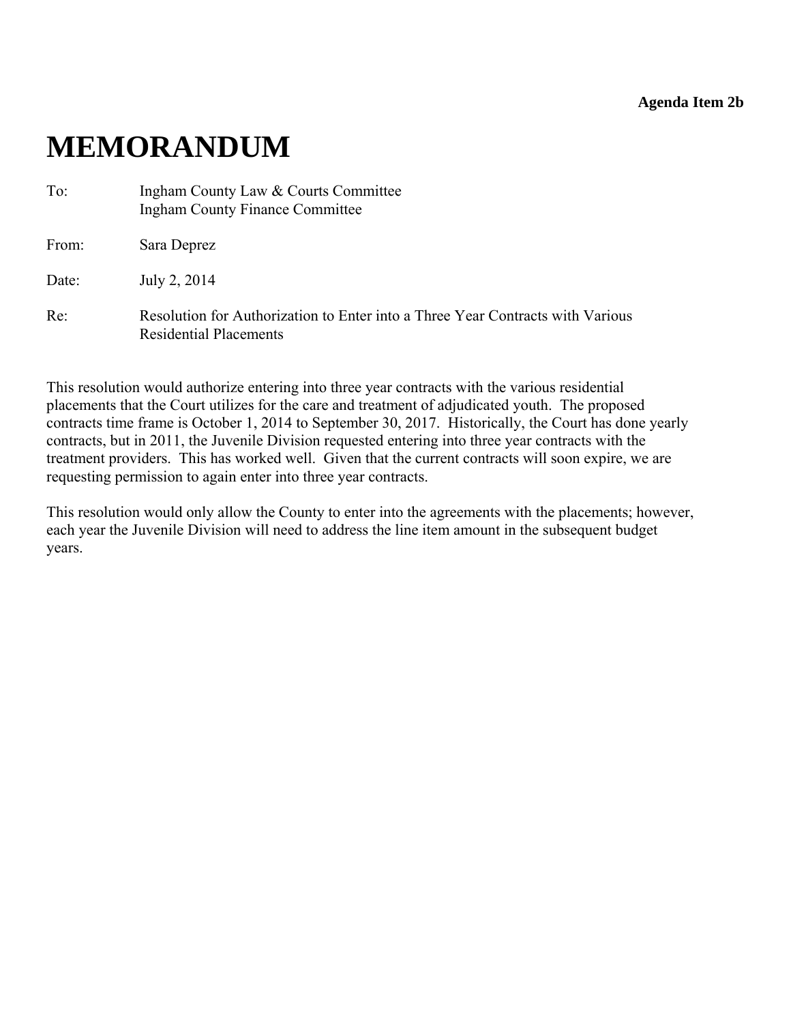**Agenda Item 2b** 

# <span id="page-12-0"></span>**MEMORANDUM**

| To:   | Ingham County Law & Courts Committee<br><b>Ingham County Finance Committee</b>                                  |
|-------|-----------------------------------------------------------------------------------------------------------------|
| From: | Sara Deprez                                                                                                     |
| Date: | July 2, 2014                                                                                                    |
| Re:   | Resolution for Authorization to Enter into a Three Year Contracts with Various<br><b>Residential Placements</b> |

This resolution would authorize entering into three year contracts with the various residential placements that the Court utilizes for the care and treatment of adjudicated youth. The proposed contracts time frame is October 1, 2014 to September 30, 2017. Historically, the Court has done yearly contracts, but in 2011, the Juvenile Division requested entering into three year contracts with the treatment providers. This has worked well. Given that the current contracts will soon expire, we are requesting permission to again enter into three year contracts.

This resolution would only allow the County to enter into the agreements with the placements; however, each year the Juvenile Division will need to address the line item amount in the subsequent budget years.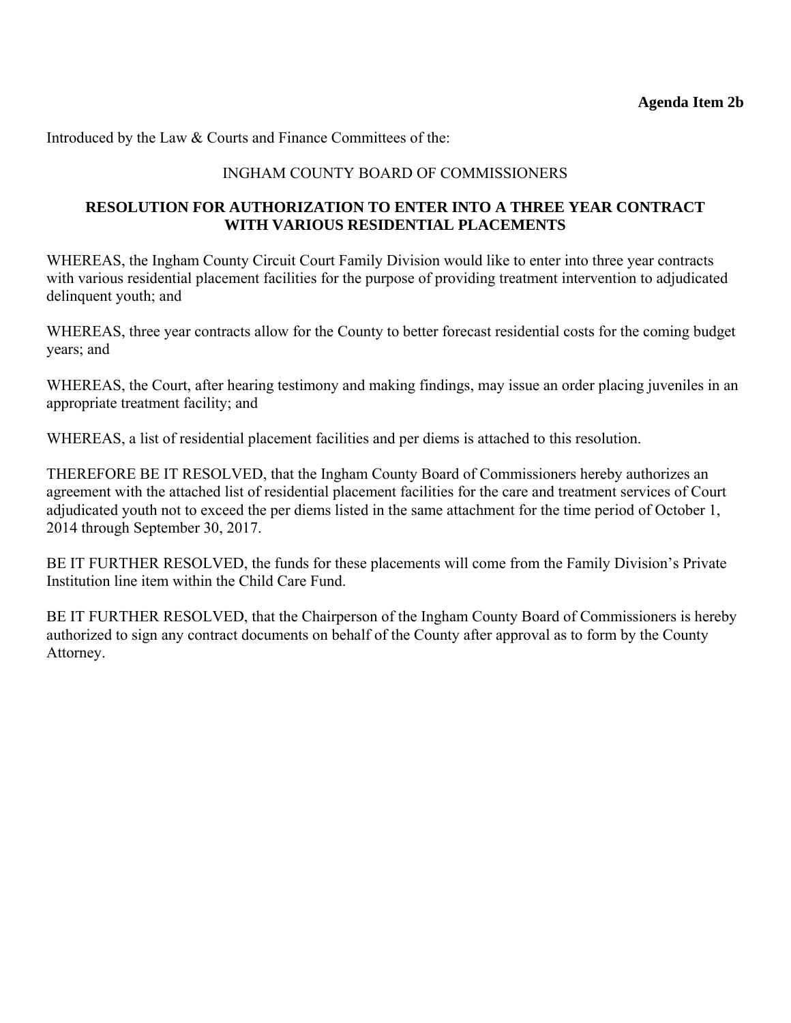Introduced by the Law & Courts and Finance Committees of the:

### INGHAM COUNTY BOARD OF COMMISSIONERS

#### **RESOLUTION FOR AUTHORIZATION TO ENTER INTO A THREE YEAR CONTRACT WITH VARIOUS RESIDENTIAL PLACEMENTS**

WHEREAS, the Ingham County Circuit Court Family Division would like to enter into three year contracts with various residential placement facilities for the purpose of providing treatment intervention to adjudicated delinquent youth; and

WHEREAS, three year contracts allow for the County to better forecast residential costs for the coming budget years; and

WHEREAS, the Court, after hearing testimony and making findings, may issue an order placing juveniles in an appropriate treatment facility; and

WHEREAS, a list of residential placement facilities and per diems is attached to this resolution.

THEREFORE BE IT RESOLVED, that the Ingham County Board of Commissioners hereby authorizes an agreement with the attached list of residential placement facilities for the care and treatment services of Court adjudicated youth not to exceed the per diems listed in the same attachment for the time period of October 1, 2014 through September 30, 2017.

BE IT FURTHER RESOLVED, the funds for these placements will come from the Family Division's Private Institution line item within the Child Care Fund.

BE IT FURTHER RESOLVED, that the Chairperson of the Ingham County Board of Commissioners is hereby authorized to sign any contract documents on behalf of the County after approval as to form by the County Attorney.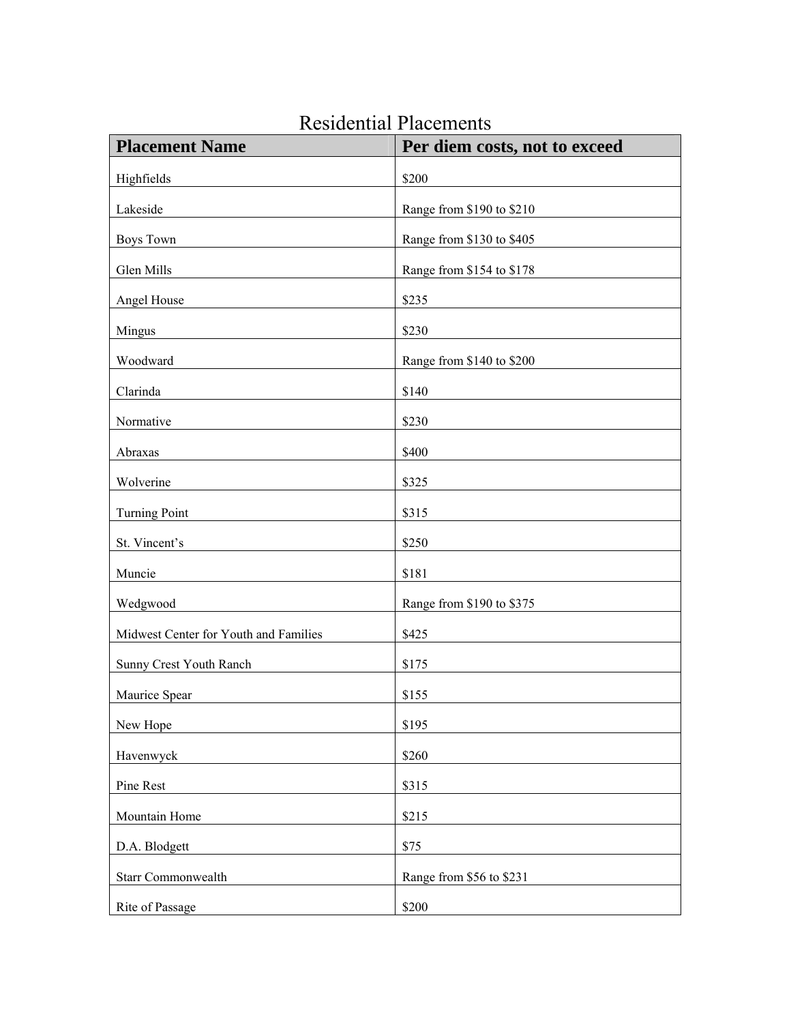| <b>Placement Name</b>                 | Per diem costs, not to exceed |  |  |
|---------------------------------------|-------------------------------|--|--|
| Highfields                            | \$200                         |  |  |
| Lakeside                              | Range from \$190 to \$210     |  |  |
| <b>Boys Town</b>                      | Range from \$130 to \$405     |  |  |
| Glen Mills                            | Range from \$154 to \$178     |  |  |
| Angel House                           | \$235                         |  |  |
| Mingus                                | \$230                         |  |  |
| Woodward                              | Range from \$140 to \$200     |  |  |
| Clarinda                              | \$140                         |  |  |
| Normative                             | \$230                         |  |  |
| Abraxas                               | \$400                         |  |  |
| Wolverine                             | \$325                         |  |  |
| <b>Turning Point</b>                  | \$315                         |  |  |
| St. Vincent's                         | \$250                         |  |  |
| Muncie                                | \$181                         |  |  |
| Wedgwood                              | Range from \$190 to \$375     |  |  |
| Midwest Center for Youth and Families | \$425                         |  |  |
| Sunny Crest Youth Ranch               | \$175                         |  |  |
| Maurice Spear                         | \$155                         |  |  |
| New Hope                              | \$195                         |  |  |
| Havenwyck                             | \$260                         |  |  |
| Pine Rest                             | \$315                         |  |  |
| Mountain Home                         | \$215                         |  |  |
| D.A. Blodgett                         | \$75                          |  |  |
| Starr Commonwealth                    | Range from \$56 to \$231      |  |  |
| Rite of Passage                       | \$200                         |  |  |

# Residential Placements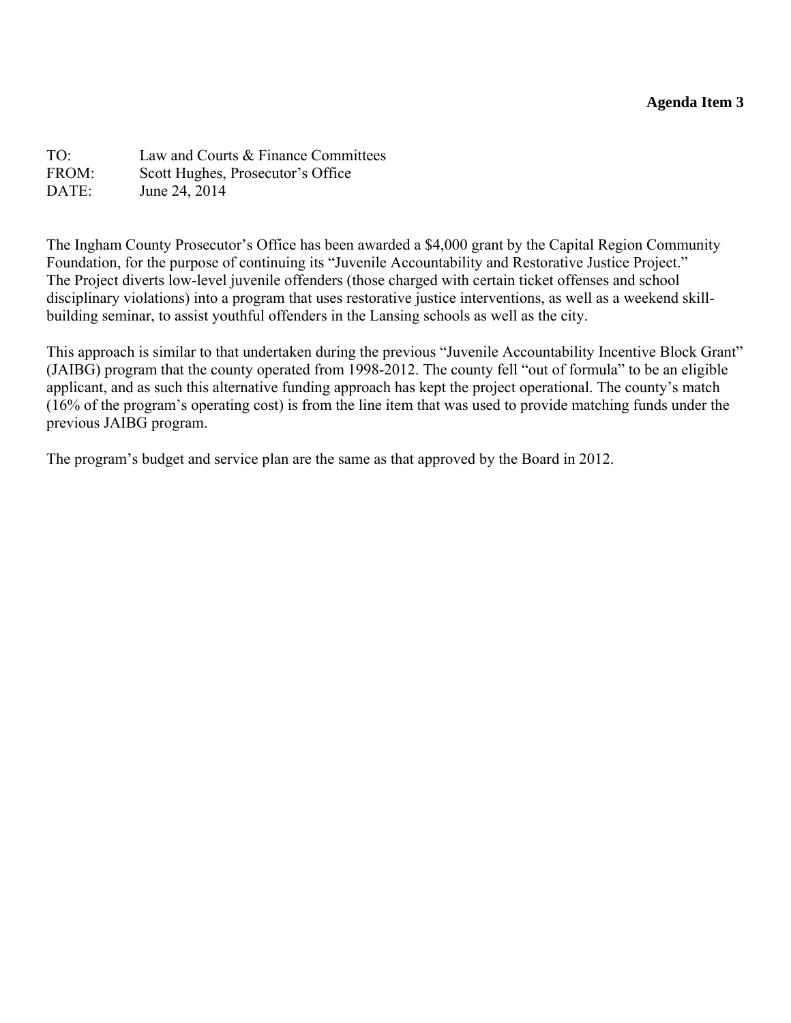#### **Agenda Item 3**

<span id="page-15-0"></span>TO: Law and Courts & Finance Committees FROM: Scott Hughes, Prosecutor's Office DATE: June 24, 2014

The Ingham County Prosecutor's Office has been awarded a \$4,000 grant by the Capital Region Community Foundation, for the purpose of continuing its "Juvenile Accountability and Restorative Justice Project." The Project diverts low-level juvenile offenders (those charged with certain ticket offenses and school disciplinary violations) into a program that uses restorative justice interventions, as well as a weekend skillbuilding seminar, to assist youthful offenders in the Lansing schools as well as the city.

This approach is similar to that undertaken during the previous "Juvenile Accountability Incentive Block Grant" (JAIBG) program that the county operated from 1998-2012. The county fell "out of formula" to be an eligible applicant, and as such this alternative funding approach has kept the project operational. The county's match (16% of the program's operating cost) is from the line item that was used to provide matching funds under the previous JAIBG program.

The program's budget and service plan are the same as that approved by the Board in 2012.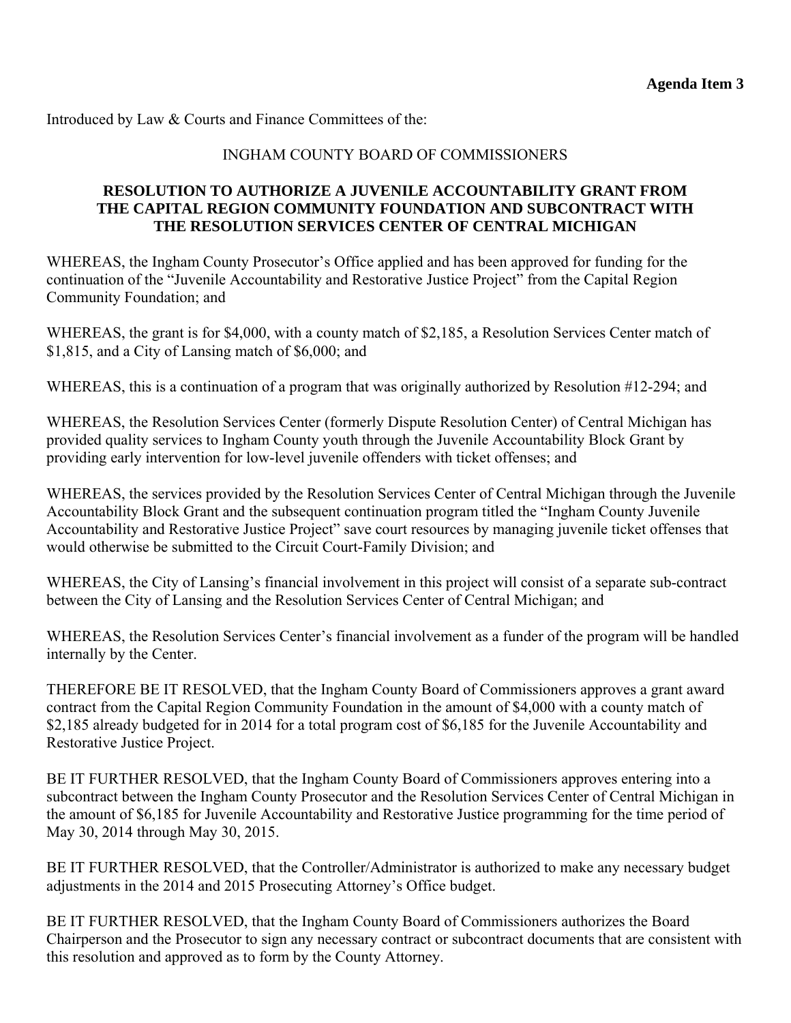Introduced by Law & Courts and Finance Committees of the:

#### INGHAM COUNTY BOARD OF COMMISSIONERS

#### **RESOLUTION TO AUTHORIZE A JUVENILE ACCOUNTABILITY GRANT FROM THE CAPITAL REGION COMMUNITY FOUNDATION AND SUBCONTRACT WITH THE RESOLUTION SERVICES CENTER OF CENTRAL MICHIGAN**

WHEREAS, the Ingham County Prosecutor's Office applied and has been approved for funding for the continuation of the "Juvenile Accountability and Restorative Justice Project" from the Capital Region Community Foundation; and

WHEREAS, the grant is for \$4,000, with a county match of \$2,185, a Resolution Services Center match of \$1,815, and a City of Lansing match of \$6,000; and

WHEREAS, this is a continuation of a program that was originally authorized by Resolution #12-294; and

WHEREAS, the Resolution Services Center (formerly Dispute Resolution Center) of Central Michigan has provided quality services to Ingham County youth through the Juvenile Accountability Block Grant by providing early intervention for low-level juvenile offenders with ticket offenses; and

WHEREAS, the services provided by the Resolution Services Center of Central Michigan through the Juvenile Accountability Block Grant and the subsequent continuation program titled the "Ingham County Juvenile Accountability and Restorative Justice Project" save court resources by managing juvenile ticket offenses that would otherwise be submitted to the Circuit Court-Family Division; and

WHEREAS, the City of Lansing's financial involvement in this project will consist of a separate sub-contract between the City of Lansing and the Resolution Services Center of Central Michigan; and

WHEREAS, the Resolution Services Center's financial involvement as a funder of the program will be handled internally by the Center.

THEREFORE BE IT RESOLVED, that the Ingham County Board of Commissioners approves a grant award contract from the Capital Region Community Foundation in the amount of \$4,000 with a county match of \$2,185 already budgeted for in 2014 for a total program cost of \$6,185 for the Juvenile Accountability and Restorative Justice Project.

BE IT FURTHER RESOLVED, that the Ingham County Board of Commissioners approves entering into a subcontract between the Ingham County Prosecutor and the Resolution Services Center of Central Michigan in the amount of \$6,185 for Juvenile Accountability and Restorative Justice programming for the time period of May 30, 2014 through May 30, 2015.

BE IT FURTHER RESOLVED, that the Controller/Administrator is authorized to make any necessary budget adjustments in the 2014 and 2015 Prosecuting Attorney's Office budget.

BE IT FURTHER RESOLVED, that the Ingham County Board of Commissioners authorizes the Board Chairperson and the Prosecutor to sign any necessary contract or subcontract documents that are consistent with this resolution and approved as to form by the County Attorney.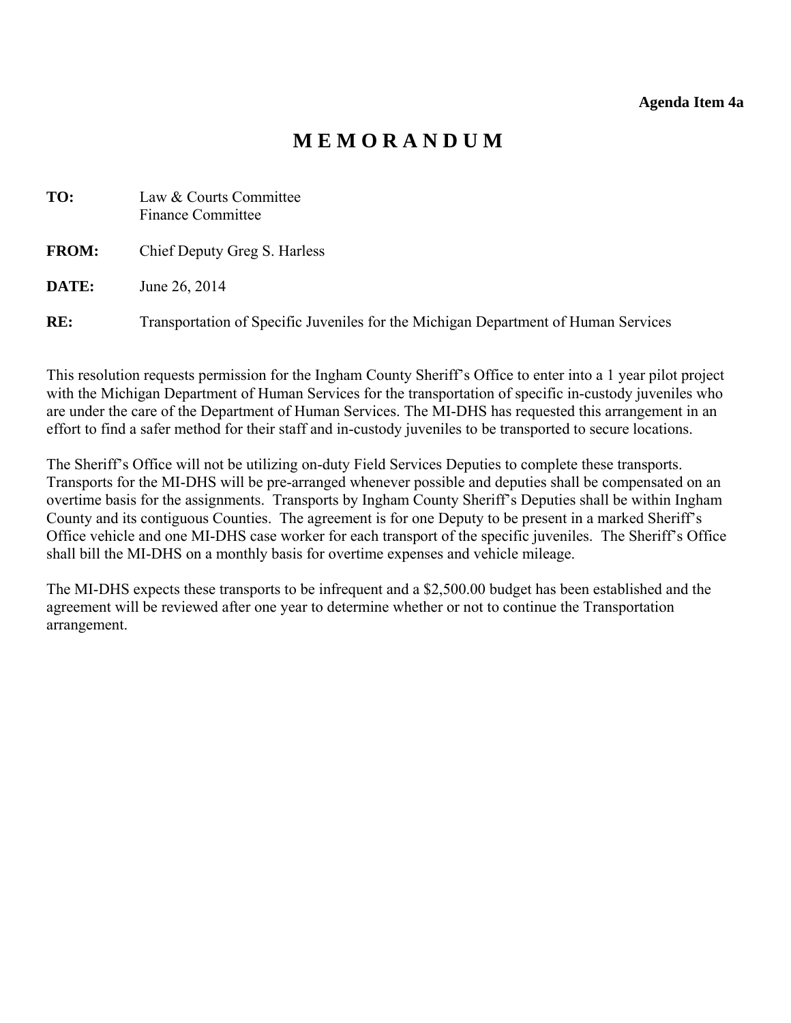# **M E M O R A N D U M**

<span id="page-17-0"></span>

| TO:          | Law & Courts Committee<br>Finance Committee                                        |
|--------------|------------------------------------------------------------------------------------|
| <b>FROM:</b> | Chief Deputy Greg S. Harless                                                       |
| DATE:        | June 26, 2014                                                                      |
| RE:          | Transportation of Specific Juveniles for the Michigan Department of Human Services |

This resolution requests permission for the Ingham County Sheriff's Office to enter into a 1 year pilot project with the Michigan Department of Human Services for the transportation of specific in-custody juveniles who are under the care of the Department of Human Services. The MI-DHS has requested this arrangement in an effort to find a safer method for their staff and in-custody juveniles to be transported to secure locations.

The Sheriff's Office will not be utilizing on-duty Field Services Deputies to complete these transports. Transports for the MI-DHS will be pre-arranged whenever possible and deputies shall be compensated on an overtime basis for the assignments. Transports by Ingham County Sheriff's Deputies shall be within Ingham County and its contiguous Counties. The agreement is for one Deputy to be present in a marked Sheriff's Office vehicle and one MI-DHS case worker for each transport of the specific juveniles. The Sheriff's Office shall bill the MI-DHS on a monthly basis for overtime expenses and vehicle mileage.

The MI-DHS expects these transports to be infrequent and a \$2,500.00 budget has been established and the agreement will be reviewed after one year to determine whether or not to continue the Transportation arrangement.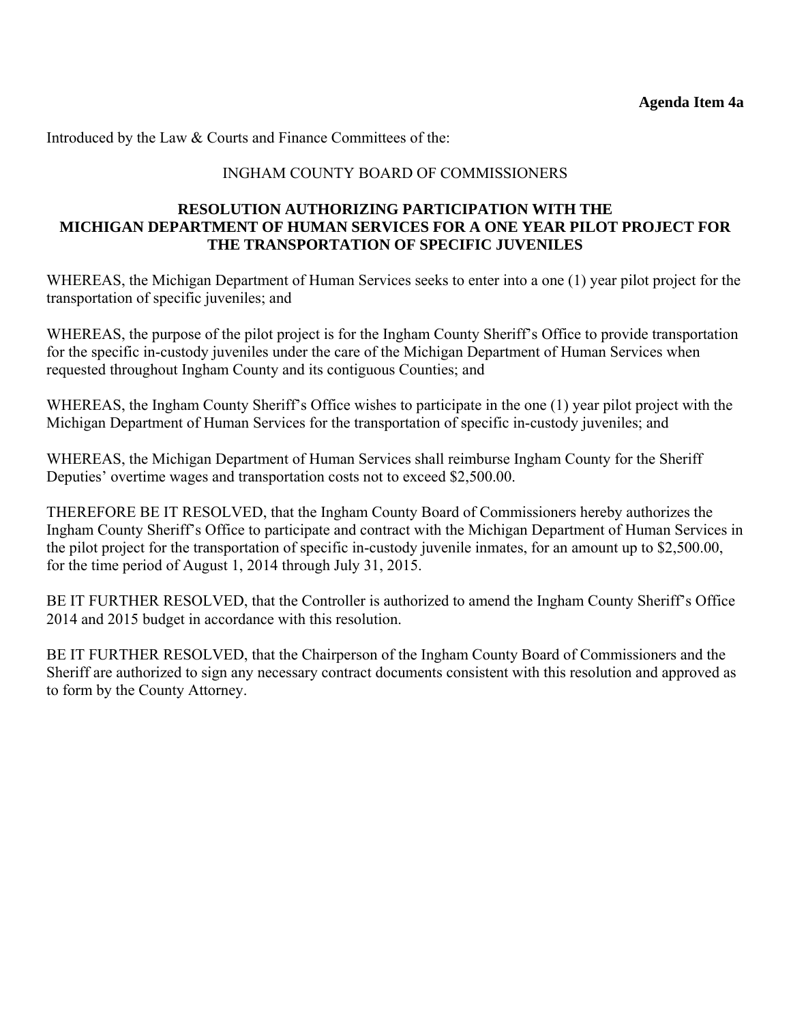Introduced by the Law & Courts and Finance Committees of the:

#### INGHAM COUNTY BOARD OF COMMISSIONERS

#### **RESOLUTION AUTHORIZING PARTICIPATION WITH THE MICHIGAN DEPARTMENT OF HUMAN SERVICES FOR A ONE YEAR PILOT PROJECT FOR THE TRANSPORTATION OF SPECIFIC JUVENILES**

WHEREAS, the Michigan Department of Human Services seeks to enter into a one (1) year pilot project for the transportation of specific juveniles; and

WHEREAS, the purpose of the pilot project is for the Ingham County Sheriff's Office to provide transportation for the specific in-custody juveniles under the care of the Michigan Department of Human Services when requested throughout Ingham County and its contiguous Counties; and

WHEREAS, the Ingham County Sheriff's Office wishes to participate in the one (1) year pilot project with the Michigan Department of Human Services for the transportation of specific in-custody juveniles; and

WHEREAS, the Michigan Department of Human Services shall reimburse Ingham County for the Sheriff Deputies' overtime wages and transportation costs not to exceed \$2,500.00.

THEREFORE BE IT RESOLVED, that the Ingham County Board of Commissioners hereby authorizes the Ingham County Sheriff's Office to participate and contract with the Michigan Department of Human Services in the pilot project for the transportation of specific in-custody juvenile inmates, for an amount up to \$2,500.00, for the time period of August 1, 2014 through July 31, 2015.

BE IT FURTHER RESOLVED, that the Controller is authorized to amend the Ingham County Sheriff's Office 2014 and 2015 budget in accordance with this resolution.

BE IT FURTHER RESOLVED, that the Chairperson of the Ingham County Board of Commissioners and the Sheriff are authorized to sign any necessary contract documents consistent with this resolution and approved as to form by the County Attorney.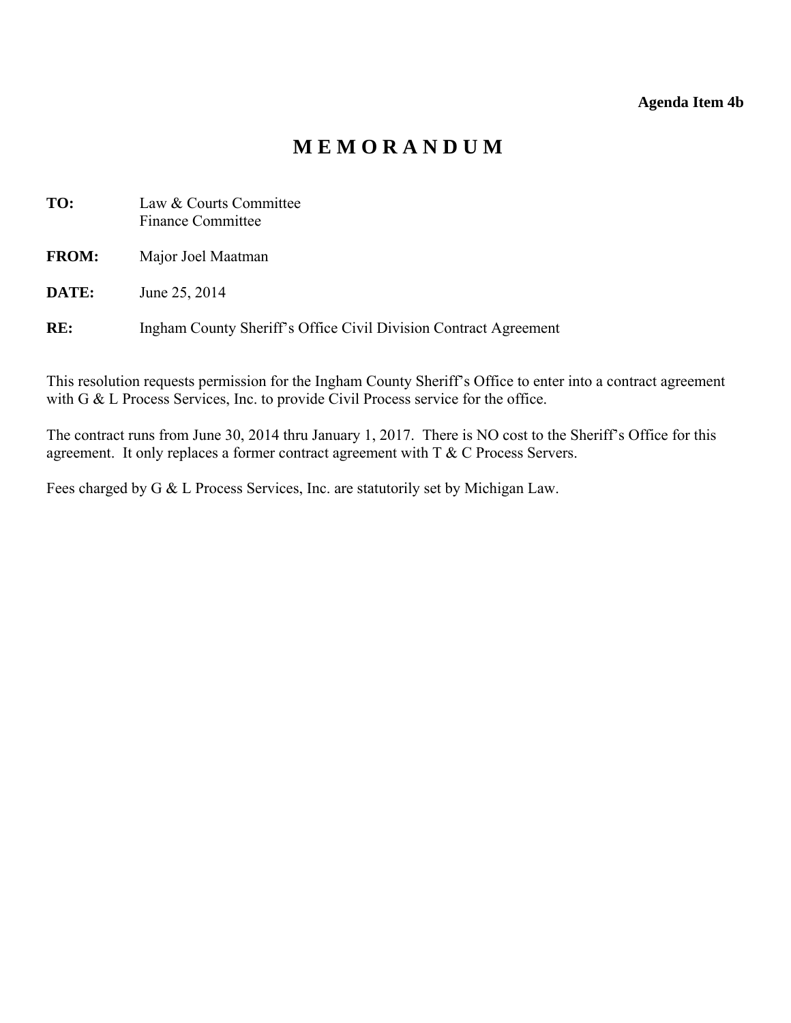#### **Agenda Item 4b**

# **M E M O R A N D U M**

<span id="page-19-0"></span>

| TO:          | Law & Courts Committee<br><b>Finance Committee</b>               |
|--------------|------------------------------------------------------------------|
| <b>FROM:</b> | Major Joel Maatman                                               |
| DATE:        | June 25, 2014                                                    |
| RE:          | Ingham County Sheriff's Office Civil Division Contract Agreement |

This resolution requests permission for the Ingham County Sheriff's Office to enter into a contract agreement with G & L Process Services, Inc. to provide Civil Process service for the office.

The contract runs from June 30, 2014 thru January 1, 2017. There is NO cost to the Sheriff's Office for this agreement. It only replaces a former contract agreement with T & C Process Servers.

Fees charged by G & L Process Services, Inc. are statutorily set by Michigan Law.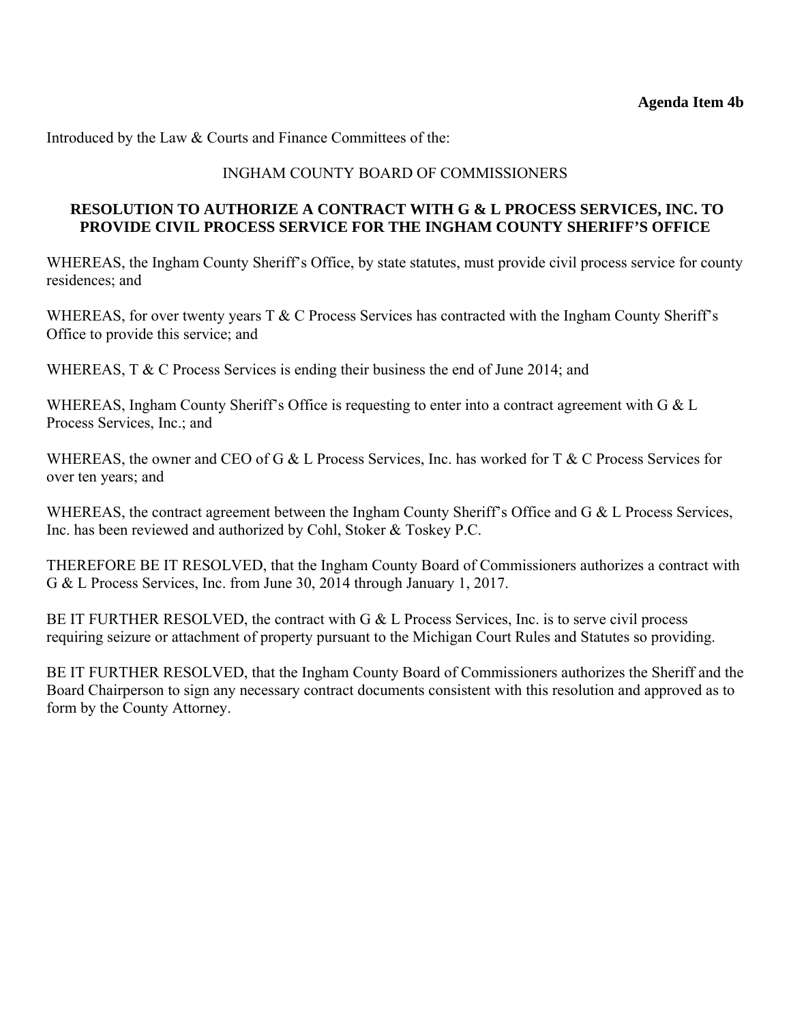Introduced by the Law & Courts and Finance Committees of the:

### INGHAM COUNTY BOARD OF COMMISSIONERS

#### **RESOLUTION TO AUTHORIZE A CONTRACT WITH G & L PROCESS SERVICES, INC. TO PROVIDE CIVIL PROCESS SERVICE FOR THE INGHAM COUNTY SHERIFF'S OFFICE**

WHEREAS, the Ingham County Sheriff's Office, by state statutes, must provide civil process service for county residences; and

WHEREAS, for over twenty years  $T \& C$  Process Services has contracted with the Ingham County Sheriff's Office to provide this service; and

WHEREAS, T & C Process Services is ending their business the end of June 2014; and

WHEREAS, Ingham County Sheriff's Office is requesting to enter into a contract agreement with G & L Process Services, Inc.; and

WHEREAS, the owner and CEO of G & L Process Services, Inc. has worked for T & C Process Services for over ten years; and

WHEREAS, the contract agreement between the Ingham County Sheriff's Office and G & L Process Services, Inc. has been reviewed and authorized by Cohl, Stoker & Toskey P.C.

THEREFORE BE IT RESOLVED, that the Ingham County Board of Commissioners authorizes a contract with G & L Process Services, Inc. from June 30, 2014 through January 1, 2017.

BE IT FURTHER RESOLVED, the contract with G & L Process Services, Inc. is to serve civil process requiring seizure or attachment of property pursuant to the Michigan Court Rules and Statutes so providing.

BE IT FURTHER RESOLVED, that the Ingham County Board of Commissioners authorizes the Sheriff and the Board Chairperson to sign any necessary contract documents consistent with this resolution and approved as to form by the County Attorney.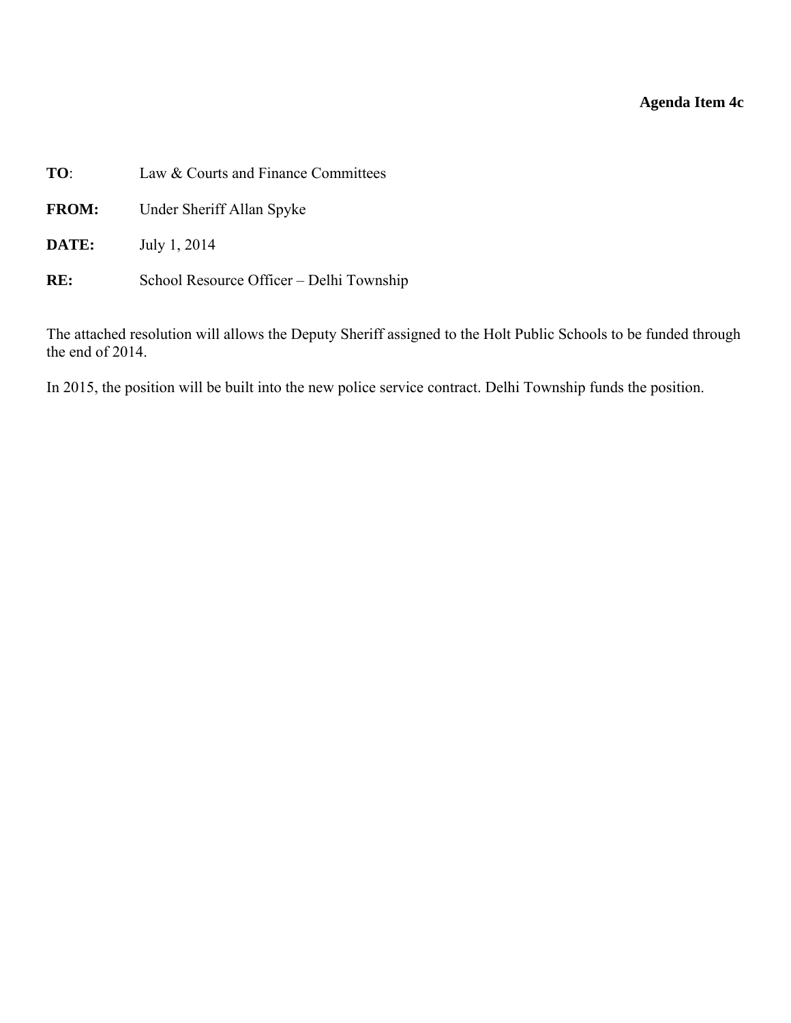# **Agenda Item 4c**

<span id="page-21-0"></span>

| TO:          | Law & Courts and Finance Committees      |  |  |
|--------------|------------------------------------------|--|--|
| <b>FROM:</b> | Under Sheriff Allan Spyke                |  |  |
| DATE:        | July 1, 2014                             |  |  |
| RE:          | School Resource Officer – Delhi Township |  |  |

The attached resolution will allows the Deputy Sheriff assigned to the Holt Public Schools to be funded through the end of 2014.

In 2015, the position will be built into the new police service contract. Delhi Township funds the position.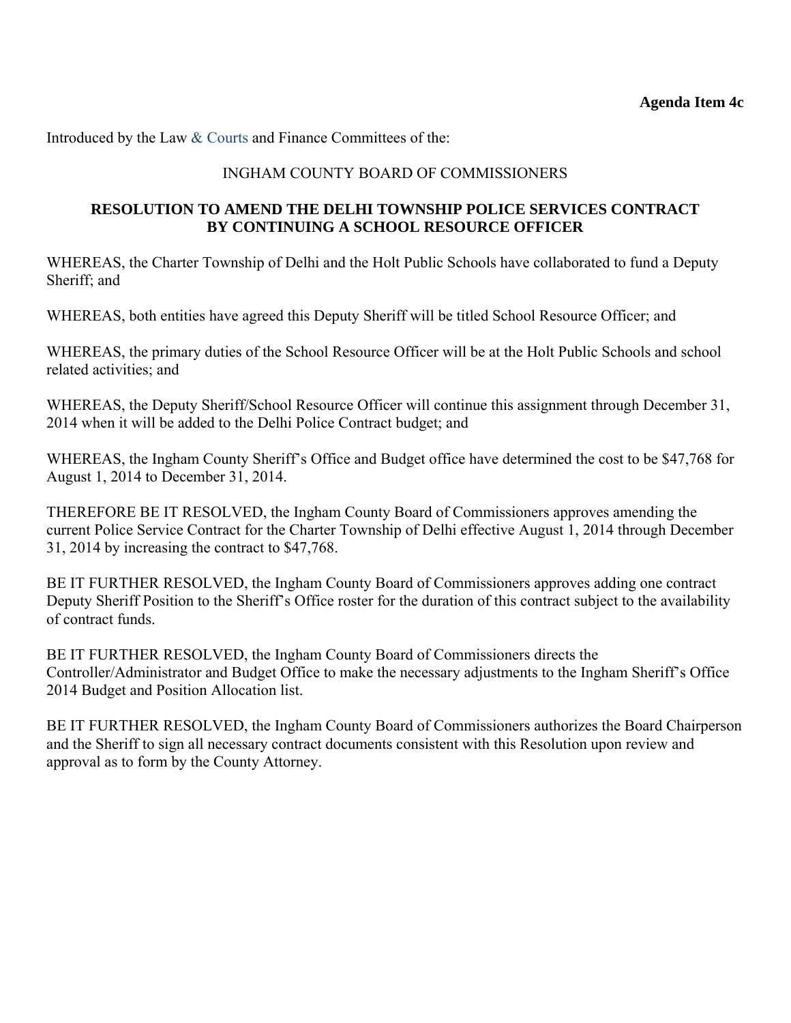Introduced by the Law & Courts and Finance Committees of the:

#### INGHAM COUNTY BOARD OF COMMISSIONERS

#### **RESOLUTION TO AMEND THE DELHI TOWNSHIP POLICE SERVICES CONTRACT BY CONTINUING A SCHOOL RESOURCE OFFICER**

WHEREAS, the Charter Township of Delhi and the Holt Public Schools have collaborated to fund a Deputy Sheriff; and

WHEREAS, both entities have agreed this Deputy Sheriff will be titled School Resource Officer; and

WHEREAS, the primary duties of the School Resource Officer will be at the Holt Public Schools and school related activities; and

WHEREAS, the Deputy Sheriff/School Resource Officer will continue this assignment through December 31, 2014 when it will be added to the Delhi Police Contract budget; and

WHEREAS, the Ingham County Sheriff's Office and Budget office have determined the cost to be \$47,768 for August 1, 2014 to December 31, 2014.

THEREFORE BE IT RESOLVED, the Ingham County Board of Commissioners approves amending the current Police Service Contract for the Charter Township of Delhi effective August 1, 2014 through December 31, 2014 by increasing the contract to \$47,768.

BE IT FURTHER RESOLVED, the Ingham County Board of Commissioners approves adding one contract Deputy Sheriff Position to the Sheriff's Office roster for the duration of this contract subject to the availability of contract funds.

BE IT FURTHER RESOLVED, the Ingham County Board of Commissioners directs the Controller/Administrator and Budget Office to make the necessary adjustments to the Ingham Sheriff's Office 2014 Budget and Position Allocation list.

BE IT FURTHER RESOLVED, the Ingham County Board of Commissioners authorizes the Board Chairperson and the Sheriff to sign all necessary contract documents consistent with this Resolution upon review and approval as to form by the County Attorney.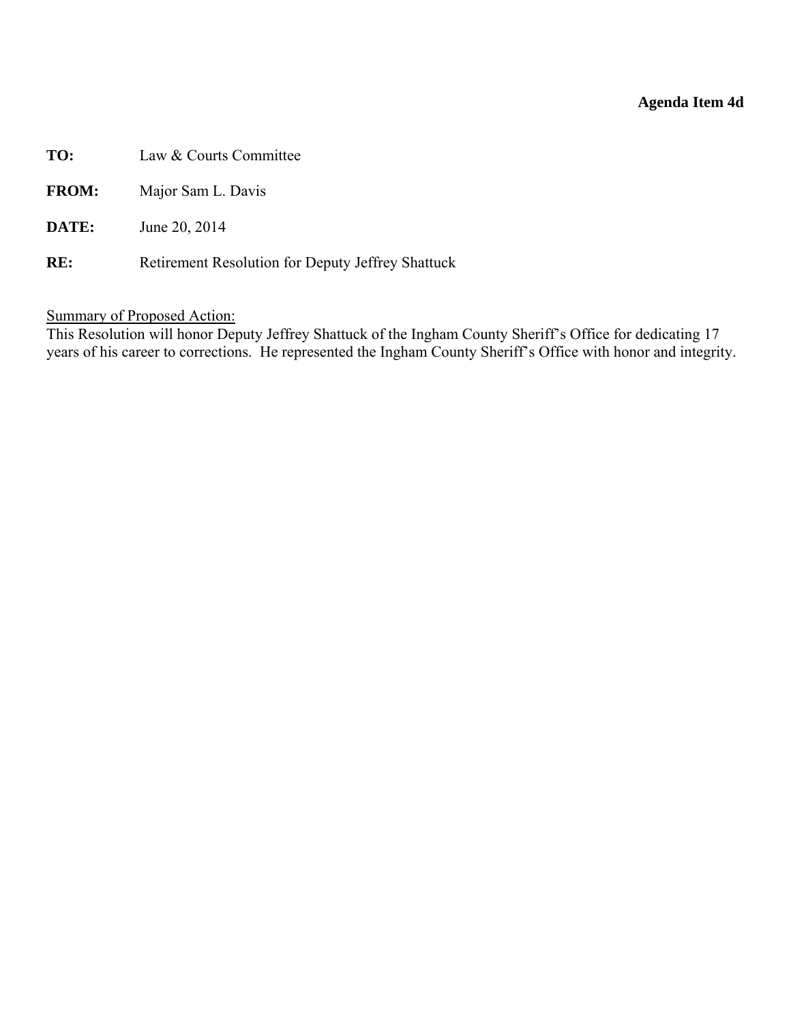#### **Agenda Item 4d**

- <span id="page-23-0"></span>**TO:** Law & Courts Committee
- **FROM:** Major Sam L. Davis
- **DATE:** June 20, 2014
- RE: Retirement Resolution for Deputy Jeffrey Shattuck

## Summary of Proposed Action:

This Resolution will honor Deputy Jeffrey Shattuck of the Ingham County Sheriff's Office for dedicating 17 years of his career to corrections. He represented the Ingham County Sheriff's Office with honor and integrity.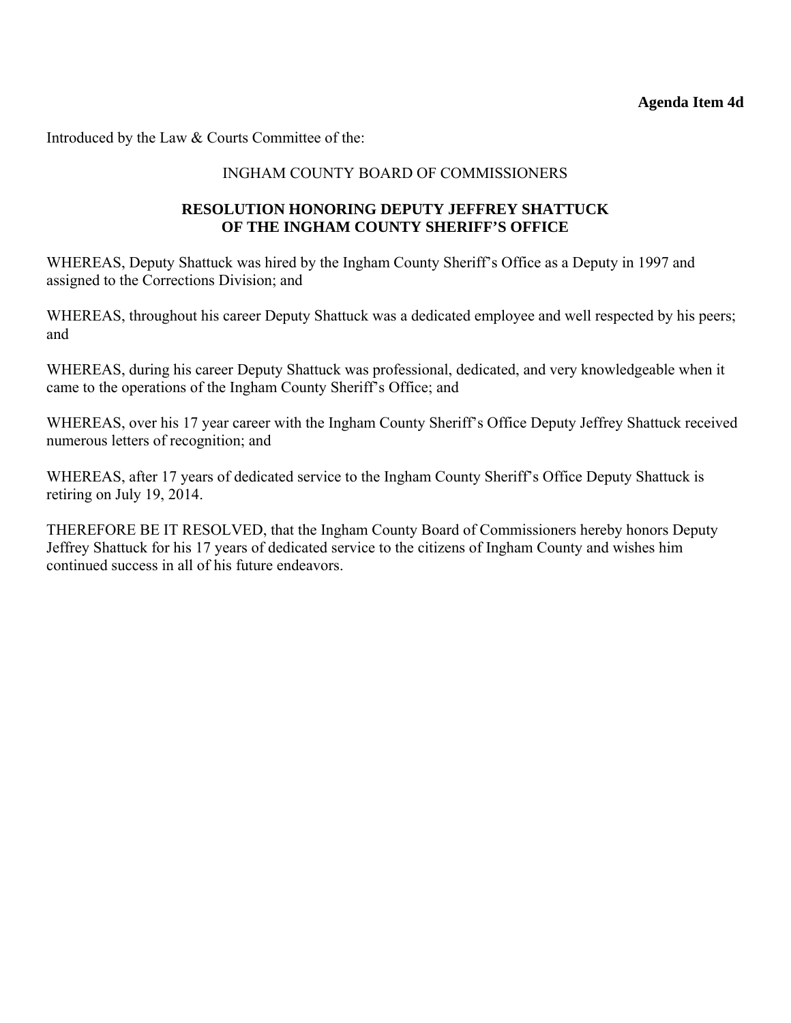Introduced by the Law & Courts Committee of the:

### INGHAM COUNTY BOARD OF COMMISSIONERS

#### **RESOLUTION HONORING DEPUTY JEFFREY SHATTUCK OF THE INGHAM COUNTY SHERIFF'S OFFICE**

WHEREAS, Deputy Shattuck was hired by the Ingham County Sheriff's Office as a Deputy in 1997 and assigned to the Corrections Division; and

WHEREAS, throughout his career Deputy Shattuck was a dedicated employee and well respected by his peers; and

WHEREAS, during his career Deputy Shattuck was professional, dedicated, and very knowledgeable when it came to the operations of the Ingham County Sheriff's Office; and

WHEREAS, over his 17 year career with the Ingham County Sheriff's Office Deputy Jeffrey Shattuck received numerous letters of recognition; and

WHEREAS, after 17 years of dedicated service to the Ingham County Sheriff's Office Deputy Shattuck is retiring on July 19, 2014.

THEREFORE BE IT RESOLVED, that the Ingham County Board of Commissioners hereby honors Deputy Jeffrey Shattuck for his 17 years of dedicated service to the citizens of Ingham County and wishes him continued success in all of his future endeavors.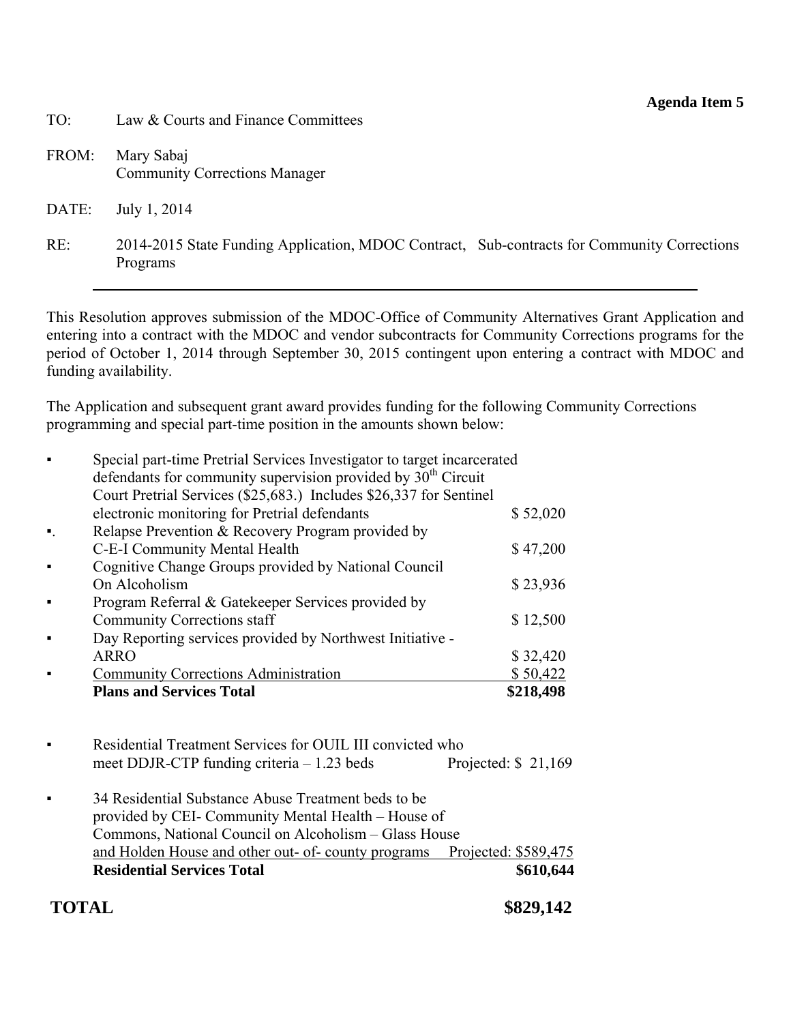#### **Agenda Item 5**

- <span id="page-25-0"></span>TO: Law & Courts and Finance Committees
- FROM: Mary Sabaj Community Corrections Manager
- DATE: July 1, 2014
- RE: 2014-2015 State Funding Application, MDOC Contract, Sub-contracts for Community Corrections Programs

This Resolution approves submission of the MDOC-Office of Community Alternatives Grant Application and entering into a contract with the MDOC and vendor subcontracts for Community Corrections programs for the period of October 1, 2014 through September 30, 2015 contingent upon entering a contract with MDOC and funding availability.

The Application and subsequent grant award provides funding for the following Community Corrections programming and special part-time position in the amounts shown below:

|                | <b>Plans and Services Total</b>                                           | \$218,498 |  |
|----------------|---------------------------------------------------------------------------|-----------|--|
|                | <b>Community Corrections Administration</b>                               | \$50,422  |  |
|                | <b>ARRO</b>                                                               | \$32,420  |  |
|                | Day Reporting services provided by Northwest Initiative -                 |           |  |
|                | <b>Community Corrections staff</b>                                        | \$12,500  |  |
|                | Program Referral & Gatekeeper Services provided by                        |           |  |
|                | On Alcoholism                                                             | \$23,936  |  |
|                | Cognitive Change Groups provided by National Council                      |           |  |
|                | C-E-I Community Mental Health                                             | \$47,200  |  |
| $\blacksquare$ | Relapse Prevention & Recovery Program provided by                         |           |  |
|                | electronic monitoring for Pretrial defendants                             | \$52,020  |  |
|                | Court Pretrial Services (\$25,683.) Includes \$26,337 for Sentinel        |           |  |
|                | defendants for community supervision provided by 30 <sup>th</sup> Circuit |           |  |
|                | Special part-time Pretrial Services Investigator to target incarcerated   |           |  |

- Residential Treatment Services for OUIL III convicted who meet DDJR-CTP funding criteria – 1.23 beds Projected: \$21,169 ▪ 34 Residential Substance Abuse Treatment beds to be
- provided by CEI- Community Mental Health House of Commons, National Council on Alcoholism – Glass House and Holden House and other out- of- county programs Projected: \$589,475 **Residential Services Total \$610,644**

# **TOTAL \$829,142**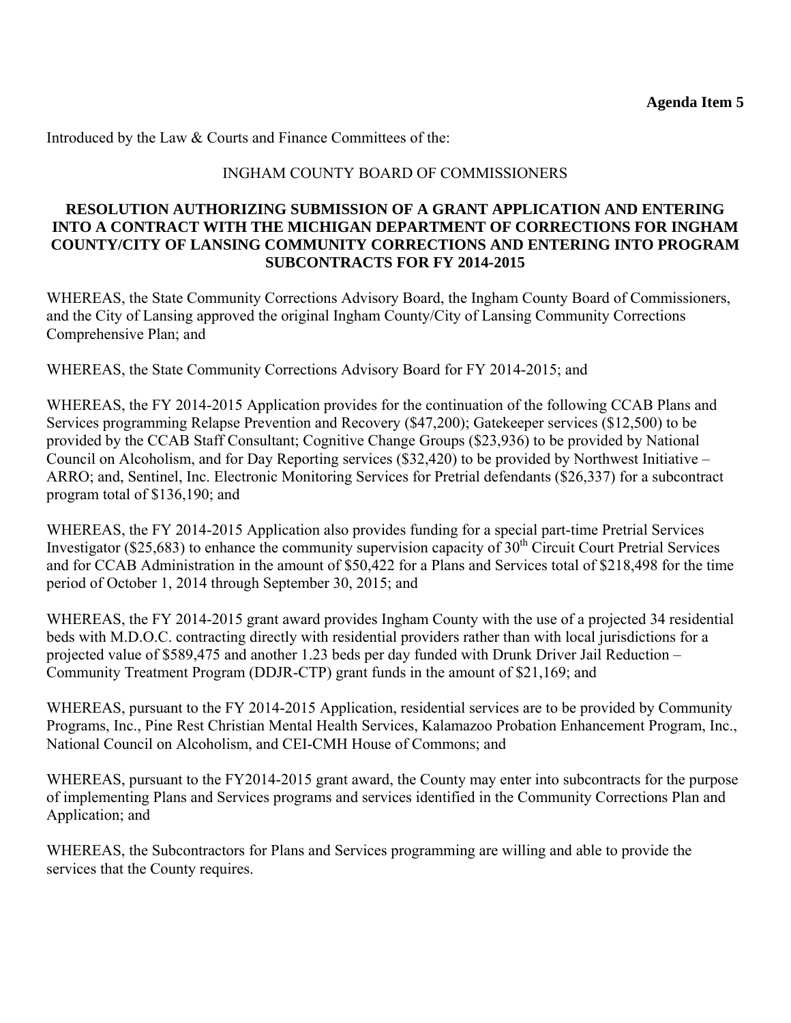Introduced by the Law & Courts and Finance Committees of the:

### INGHAM COUNTY BOARD OF COMMISSIONERS

#### **RESOLUTION AUTHORIZING SUBMISSION OF A GRANT APPLICATION AND ENTERING INTO A CONTRACT WITH THE MICHIGAN DEPARTMENT OF CORRECTIONS FOR INGHAM COUNTY/CITY OF LANSING COMMUNITY CORRECTIONS AND ENTERING INTO PROGRAM SUBCONTRACTS FOR FY 2014-2015**

WHEREAS, the State Community Corrections Advisory Board, the Ingham County Board of Commissioners, and the City of Lansing approved the original Ingham County/City of Lansing Community Corrections Comprehensive Plan; and

WHEREAS, the State Community Corrections Advisory Board for FY 2014-2015; and

WHEREAS, the FY 2014-2015 Application provides for the continuation of the following CCAB Plans and Services programming Relapse Prevention and Recovery (\$47,200); Gatekeeper services (\$12,500) to be provided by the CCAB Staff Consultant; Cognitive Change Groups (\$23,936) to be provided by National Council on Alcoholism, and for Day Reporting services (\$32,420) to be provided by Northwest Initiative – ARRO; and, Sentinel, Inc. Electronic Monitoring Services for Pretrial defendants (\$26,337) for a subcontract program total of \$136,190; and

WHEREAS, the FY 2014-2015 Application also provides funding for a special part-time Pretrial Services Investigator (\$25,683) to enhance the community supervision capacity of  $30<sup>th</sup>$  Circuit Court Pretrial Services and for CCAB Administration in the amount of \$50,422 for a Plans and Services total of \$218,498 for the time period of October 1, 2014 through September 30, 2015; and

WHEREAS, the FY 2014-2015 grant award provides Ingham County with the use of a projected 34 residential beds with M.D.O.C. contracting directly with residential providers rather than with local jurisdictions for a projected value of \$589,475 and another 1.23 beds per day funded with Drunk Driver Jail Reduction – Community Treatment Program (DDJR-CTP) grant funds in the amount of \$21,169; and

WHEREAS, pursuant to the FY 2014-2015 Application, residential services are to be provided by Community Programs, Inc., Pine Rest Christian Mental Health Services, Kalamazoo Probation Enhancement Program, Inc., National Council on Alcoholism, and CEI-CMH House of Commons; and

WHEREAS, pursuant to the FY2014-2015 grant award, the County may enter into subcontracts for the purpose of implementing Plans and Services programs and services identified in the Community Corrections Plan and Application; and

WHEREAS, the Subcontractors for Plans and Services programming are willing and able to provide the services that the County requires.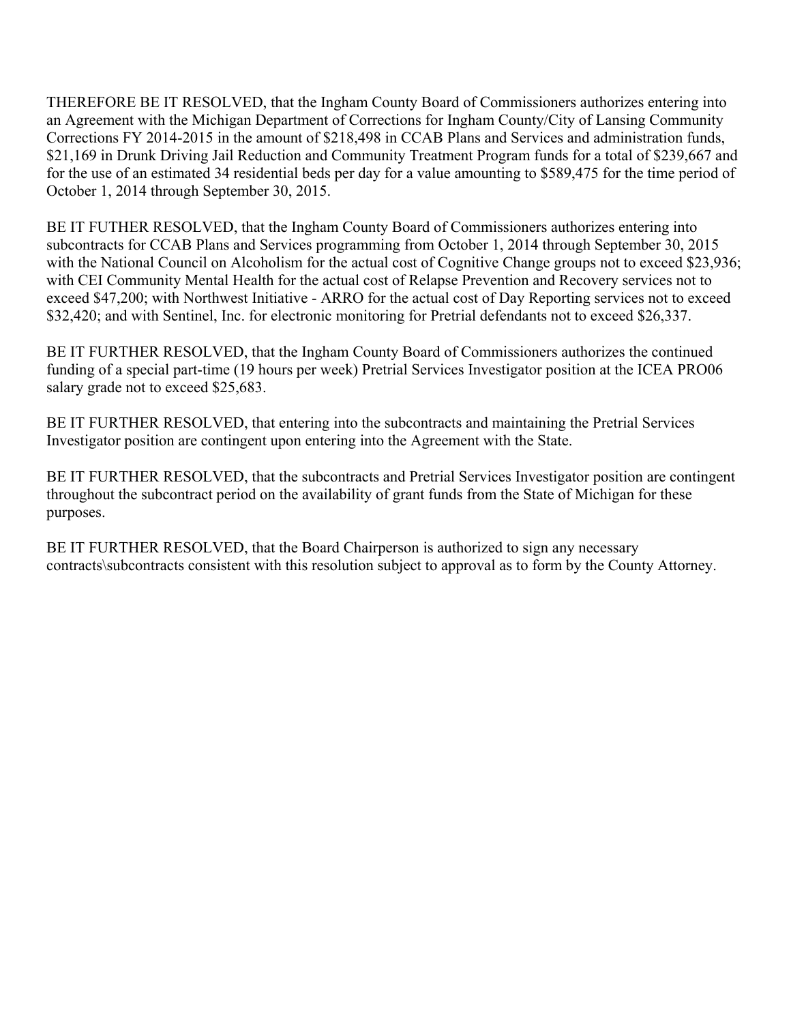THEREFORE BE IT RESOLVED, that the Ingham County Board of Commissioners authorizes entering into an Agreement with the Michigan Department of Corrections for Ingham County/City of Lansing Community Corrections FY 2014-2015 in the amount of \$218,498 in CCAB Plans and Services and administration funds, \$21,169 in Drunk Driving Jail Reduction and Community Treatment Program funds for a total of \$239,667 and for the use of an estimated 34 residential beds per day for a value amounting to \$589,475 for the time period of October 1, 2014 through September 30, 2015.

BE IT FUTHER RESOLVED, that the Ingham County Board of Commissioners authorizes entering into subcontracts for CCAB Plans and Services programming from October 1, 2014 through September 30, 2015 with the National Council on Alcoholism for the actual cost of Cognitive Change groups not to exceed \$23,936; with CEI Community Mental Health for the actual cost of Relapse Prevention and Recovery services not to exceed \$47,200; with Northwest Initiative - ARRO for the actual cost of Day Reporting services not to exceed \$32,420; and with Sentinel, Inc. for electronic monitoring for Pretrial defendants not to exceed \$26,337.

BE IT FURTHER RESOLVED, that the Ingham County Board of Commissioners authorizes the continued funding of a special part-time (19 hours per week) Pretrial Services Investigator position at the ICEA PRO06 salary grade not to exceed \$25,683.

BE IT FURTHER RESOLVED, that entering into the subcontracts and maintaining the Pretrial Services Investigator position are contingent upon entering into the Agreement with the State.

BE IT FURTHER RESOLVED, that the subcontracts and Pretrial Services Investigator position are contingent throughout the subcontract period on the availability of grant funds from the State of Michigan for these purposes.

BE IT FURTHER RESOLVED, that the Board Chairperson is authorized to sign any necessary contracts\subcontracts consistent with this resolution subject to approval as to form by the County Attorney.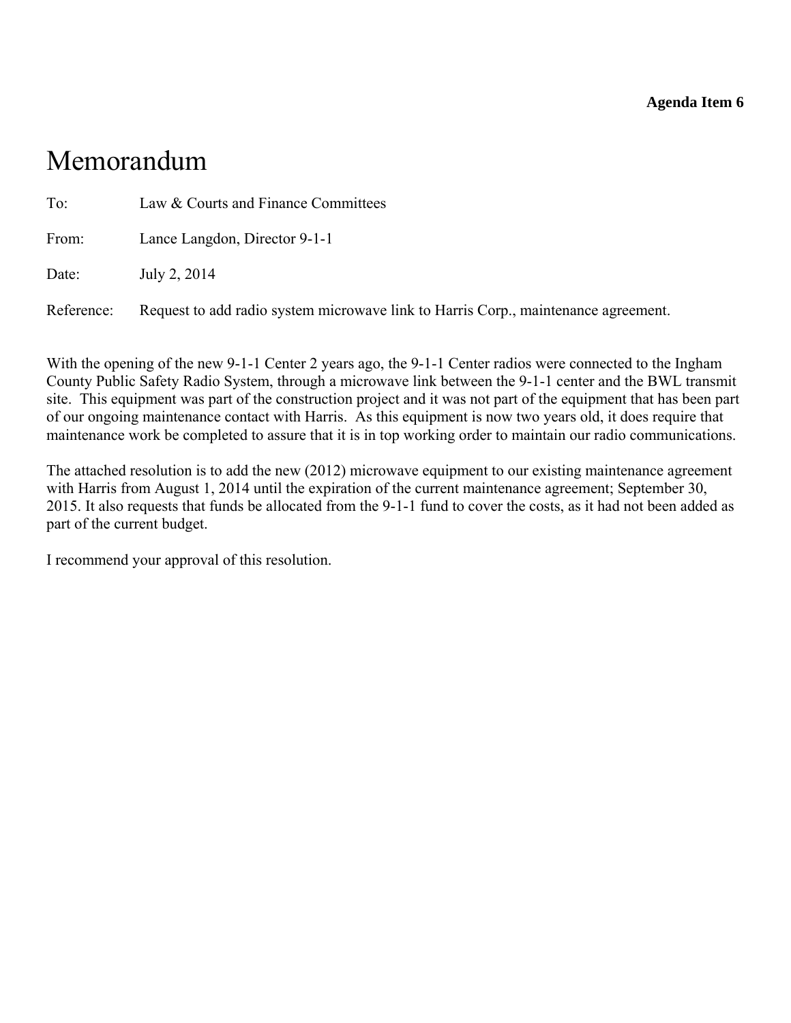#### **Agenda Item 6**

# <span id="page-28-0"></span>Memorandum

| To:        | Law & Courts and Finance Committees                                                |
|------------|------------------------------------------------------------------------------------|
| From:      | Lance Langdon, Director 9-1-1                                                      |
| Date:      | July 2, 2014                                                                       |
| Reference: | Request to add radio system microwave link to Harris Corp., maintenance agreement. |

With the opening of the new 9-1-1 Center 2 years ago, the 9-1-1 Center radios were connected to the Ingham County Public Safety Radio System, through a microwave link between the 9-1-1 center and the BWL transmit site. This equipment was part of the construction project and it was not part of the equipment that has been part of our ongoing maintenance contact with Harris. As this equipment is now two years old, it does require that maintenance work be completed to assure that it is in top working order to maintain our radio communications.

The attached resolution is to add the new (2012) microwave equipment to our existing maintenance agreement with Harris from August 1, 2014 until the expiration of the current maintenance agreement; September 30, 2015. It also requests that funds be allocated from the 9-1-1 fund to cover the costs, as it had not been added as part of the current budget.

I recommend your approval of this resolution.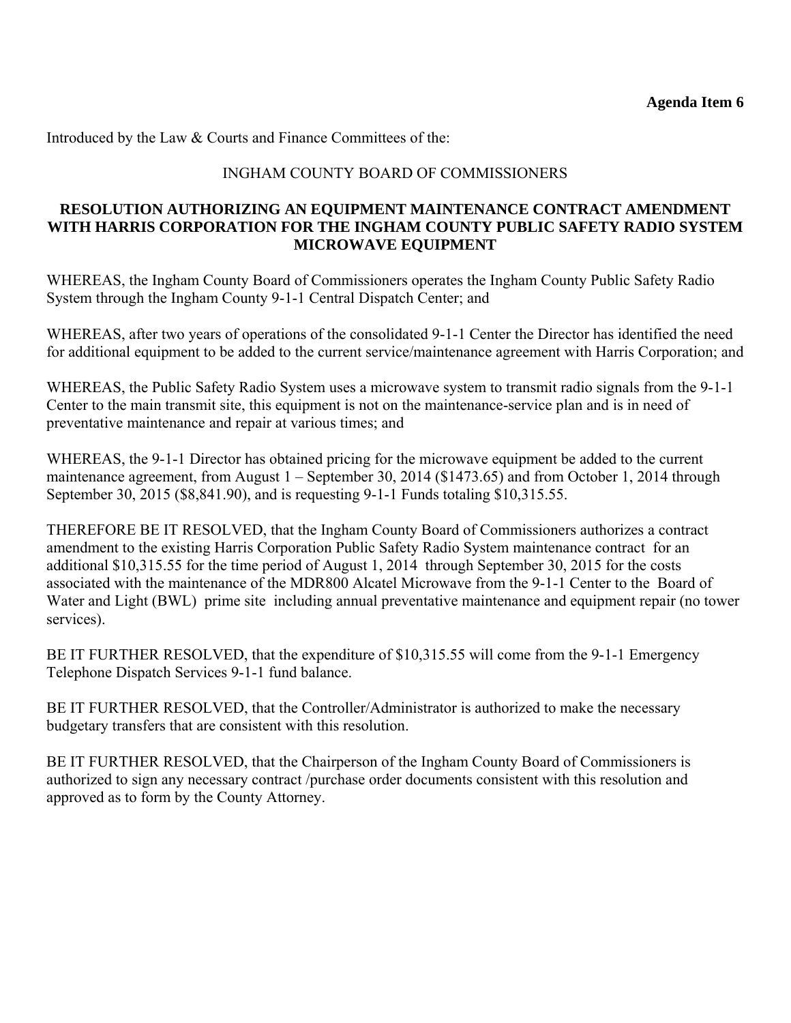Introduced by the Law & Courts and Finance Committees of the:

### INGHAM COUNTY BOARD OF COMMISSIONERS

#### **RESOLUTION AUTHORIZING AN EQUIPMENT MAINTENANCE CONTRACT AMENDMENT WITH HARRIS CORPORATION FOR THE INGHAM COUNTY PUBLIC SAFETY RADIO SYSTEM MICROWAVE EQUIPMENT**

WHEREAS, the Ingham County Board of Commissioners operates the Ingham County Public Safety Radio System through the Ingham County 9-1-1 Central Dispatch Center; and

WHEREAS, after two years of operations of the consolidated 9-1-1 Center the Director has identified the need for additional equipment to be added to the current service/maintenance agreement with Harris Corporation; and

WHEREAS, the Public Safety Radio System uses a microwave system to transmit radio signals from the 9-1-1 Center to the main transmit site, this equipment is not on the maintenance-service plan and is in need of preventative maintenance and repair at various times; and

WHEREAS, the 9-1-1 Director has obtained pricing for the microwave equipment be added to the current maintenance agreement, from August 1 – September 30, 2014 (\$1473.65) and from October 1, 2014 through September 30, 2015 (\$8,841.90), and is requesting 9-1-1 Funds totaling \$10,315.55.

THEREFORE BE IT RESOLVED, that the Ingham County Board of Commissioners authorizes a contract amendment to the existing Harris Corporation Public Safety Radio System maintenance contract for an additional \$10,315.55 for the time period of August 1, 2014 through September 30, 2015 for the costs associated with the maintenance of the MDR800 Alcatel Microwave from the 9-1-1 Center to the Board of Water and Light (BWL) prime site including annual preventative maintenance and equipment repair (no tower services).

BE IT FURTHER RESOLVED, that the expenditure of \$10,315.55 will come from the 9-1-1 Emergency Telephone Dispatch Services 9-1-1 fund balance.

BE IT FURTHER RESOLVED, that the Controller/Administrator is authorized to make the necessary budgetary transfers that are consistent with this resolution.

BE IT FURTHER RESOLVED, that the Chairperson of the Ingham County Board of Commissioners is authorized to sign any necessary contract /purchase order documents consistent with this resolution and approved as to form by the County Attorney.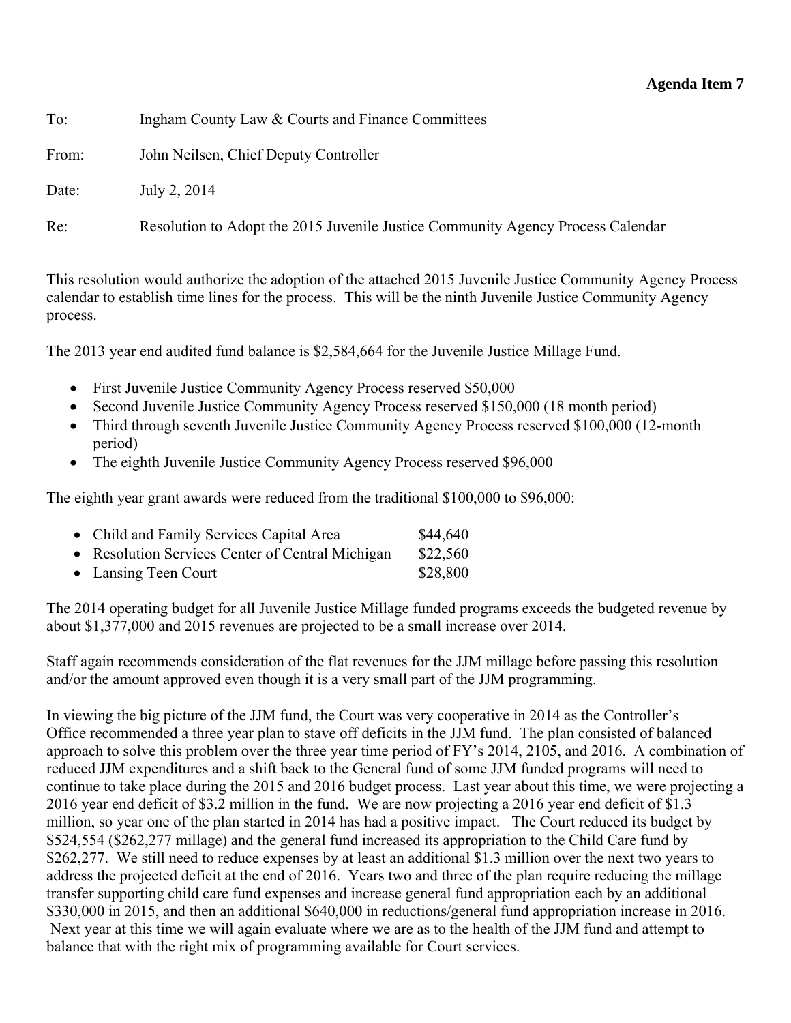<span id="page-30-0"></span>To: Ingham County Law & Courts and Finance Committees

From: John Neilsen, Chief Deputy Controller

Date: July 2, 2014

Re: Resolution to Adopt the 2015 Juvenile Justice Community Agency Process Calendar

This resolution would authorize the adoption of the attached 2015 Juvenile Justice Community Agency Process calendar to establish time lines for the process. This will be the ninth Juvenile Justice Community Agency process.

The 2013 year end audited fund balance is \$2,584,664 for the Juvenile Justice Millage Fund.

- First Juvenile Justice Community Agency Process reserved \$50,000
- Second Juvenile Justice Community Agency Process reserved \$150,000 (18 month period)
- Third through seventh Juvenile Justice Community Agency Process reserved \$100,000 (12-month period)
- The eighth Juvenile Justice Community Agency Process reserved \$96,000

The eighth year grant awards were reduced from the traditional \$100,000 to \$96,000:

| • Child and Family Services Capital Area         | \$44,640 |
|--------------------------------------------------|----------|
| • Resolution Services Center of Central Michigan | \$22,560 |
| • Lansing Teen Court                             | \$28,800 |

The 2014 operating budget for all Juvenile Justice Millage funded programs exceeds the budgeted revenue by about \$1,377,000 and 2015 revenues are projected to be a small increase over 2014.

Staff again recommends consideration of the flat revenues for the JJM millage before passing this resolution and/or the amount approved even though it is a very small part of the JJM programming.

In viewing the big picture of the JJM fund, the Court was very cooperative in 2014 as the Controller's Office recommended a three year plan to stave off deficits in the JJM fund. The plan consisted of balanced approach to solve this problem over the three year time period of FY's 2014, 2105, and 2016. A combination of reduced JJM expenditures and a shift back to the General fund of some JJM funded programs will need to continue to take place during the 2015 and 2016 budget process. Last year about this time, we were projecting a 2016 year end deficit of \$3.2 million in the fund. We are now projecting a 2016 year end deficit of \$1.3 million, so year one of the plan started in 2014 has had a positive impact. The Court reduced its budget by \$524,554 (\$262,277 millage) and the general fund increased its appropriation to the Child Care fund by \$262,277. We still need to reduce expenses by at least an additional \$1.3 million over the next two years to address the projected deficit at the end of 2016. Years two and three of the plan require reducing the millage transfer supporting child care fund expenses and increase general fund appropriation each by an additional \$330,000 in 2015, and then an additional \$640,000 in reductions/general fund appropriation increase in 2016. Next year at this time we will again evaluate where we are as to the health of the JJM fund and attempt to balance that with the right mix of programming available for Court services.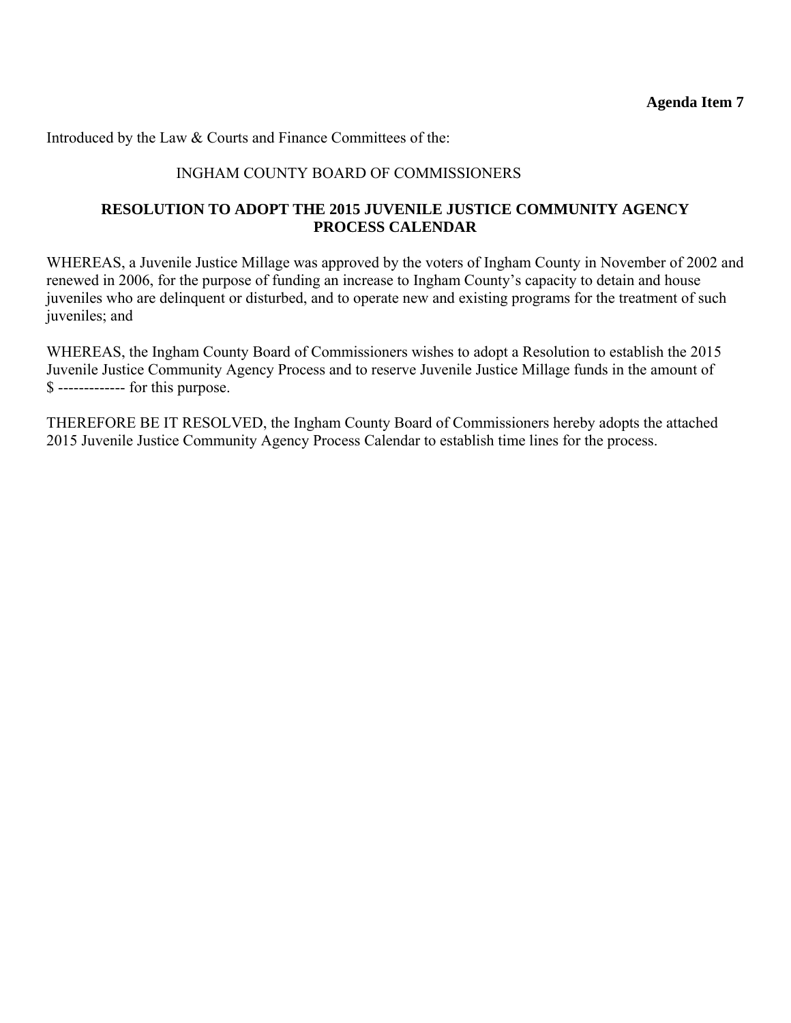Introduced by the Law & Courts and Finance Committees of the:

### INGHAM COUNTY BOARD OF COMMISSIONERS

#### **RESOLUTION TO ADOPT THE 2015 JUVENILE JUSTICE COMMUNITY AGENCY PROCESS CALENDAR**

WHEREAS, a Juvenile Justice Millage was approved by the voters of Ingham County in November of 2002 and renewed in 2006, for the purpose of funding an increase to Ingham County's capacity to detain and house juveniles who are delinquent or disturbed, and to operate new and existing programs for the treatment of such juveniles; and

WHEREAS, the Ingham County Board of Commissioners wishes to adopt a Resolution to establish the 2015 Juvenile Justice Community Agency Process and to reserve Juvenile Justice Millage funds in the amount of \$ ------------- for this purpose.

THEREFORE BE IT RESOLVED, the Ingham County Board of Commissioners hereby adopts the attached 2015 Juvenile Justice Community Agency Process Calendar to establish time lines for the process.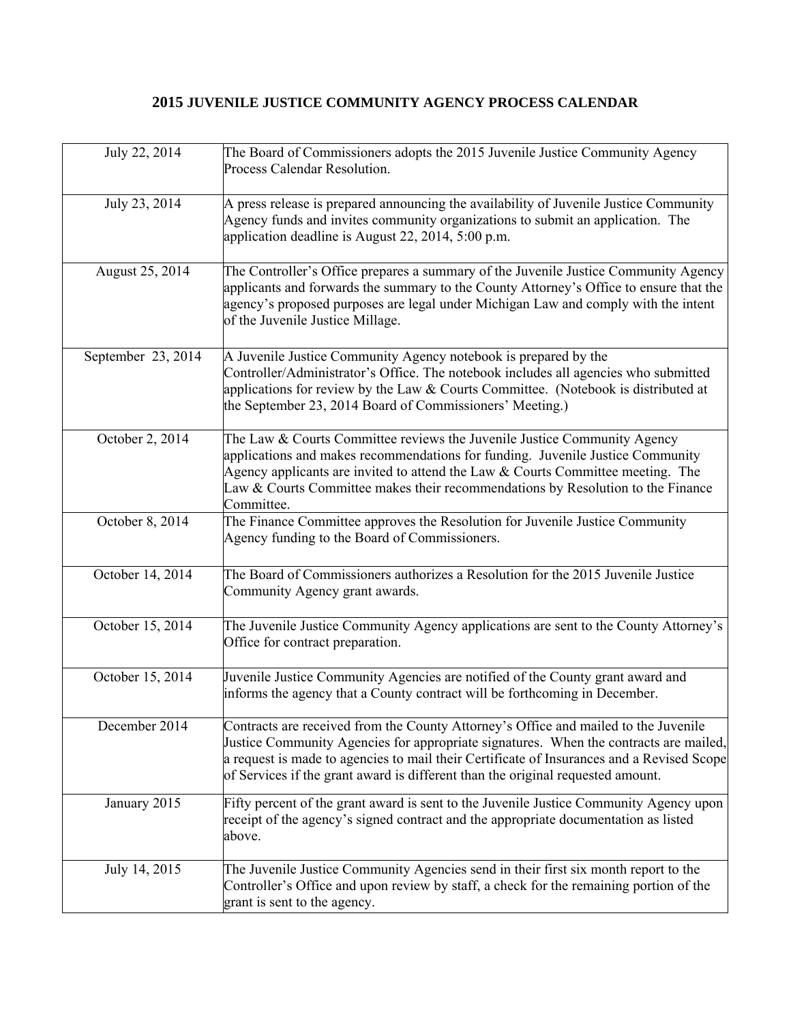# **2015 JUVENILE JUSTICE COMMUNITY AGENCY PROCESS CALENDAR**

| July 22, 2014      | The Board of Commissioners adopts the 2015 Juvenile Justice Community Agency<br>Process Calendar Resolution.                                                                                                                                                                                                                                                 |
|--------------------|--------------------------------------------------------------------------------------------------------------------------------------------------------------------------------------------------------------------------------------------------------------------------------------------------------------------------------------------------------------|
| July 23, 2014      | A press release is prepared announcing the availability of Juvenile Justice Community<br>Agency funds and invites community organizations to submit an application. The<br>application deadline is August 22, 2014, 5:00 p.m.                                                                                                                                |
| August 25, 2014    | The Controller's Office prepares a summary of the Juvenile Justice Community Agency<br>applicants and forwards the summary to the County Attorney's Office to ensure that the<br>agency's proposed purposes are legal under Michigan Law and comply with the intent<br>of the Juvenile Justice Millage.                                                      |
| September 23, 2014 | A Juvenile Justice Community Agency notebook is prepared by the<br>Controller/Administrator's Office. The notebook includes all agencies who submitted<br>applications for review by the Law $&$ Courts Committee. (Notebook is distributed at<br>the September 23, 2014 Board of Commissioners' Meeting.)                                                   |
| October 2, 2014    | The Law & Courts Committee reviews the Juvenile Justice Community Agency<br>applications and makes recommendations for funding. Juvenile Justice Community<br>Agency applicants are invited to attend the Law & Courts Committee meeting. The<br>Law & Courts Committee makes their recommendations by Resolution to the Finance<br>Committee.               |
| October 8, 2014    | The Finance Committee approves the Resolution for Juvenile Justice Community<br>Agency funding to the Board of Commissioners.                                                                                                                                                                                                                                |
| October 14, 2014   | The Board of Commissioners authorizes a Resolution for the 2015 Juvenile Justice<br>Community Agency grant awards.                                                                                                                                                                                                                                           |
| October 15, 2014   | The Juvenile Justice Community Agency applications are sent to the County Attorney's<br>Office for contract preparation.                                                                                                                                                                                                                                     |
| October 15, 2014   | Juvenile Justice Community Agencies are notified of the County grant award and<br>informs the agency that a County contract will be forthcoming in December.                                                                                                                                                                                                 |
| December 2014      | Contracts are received from the County Attorney's Office and mailed to the Juvenile<br>Justice Community Agencies for appropriate signatures. When the contracts are mailed,<br>a request is made to agencies to mail their Certificate of Insurances and a Revised Scope<br>of Services if the grant award is different than the original requested amount. |
| January 2015       | Fifty percent of the grant award is sent to the Juvenile Justice Community Agency upon<br>receipt of the agency's signed contract and the appropriate documentation as listed<br>above.                                                                                                                                                                      |
| July 14, 2015      | The Juvenile Justice Community Agencies send in their first six month report to the<br>Controller's Office and upon review by staff, a check for the remaining portion of the<br>grant is sent to the agency.                                                                                                                                                |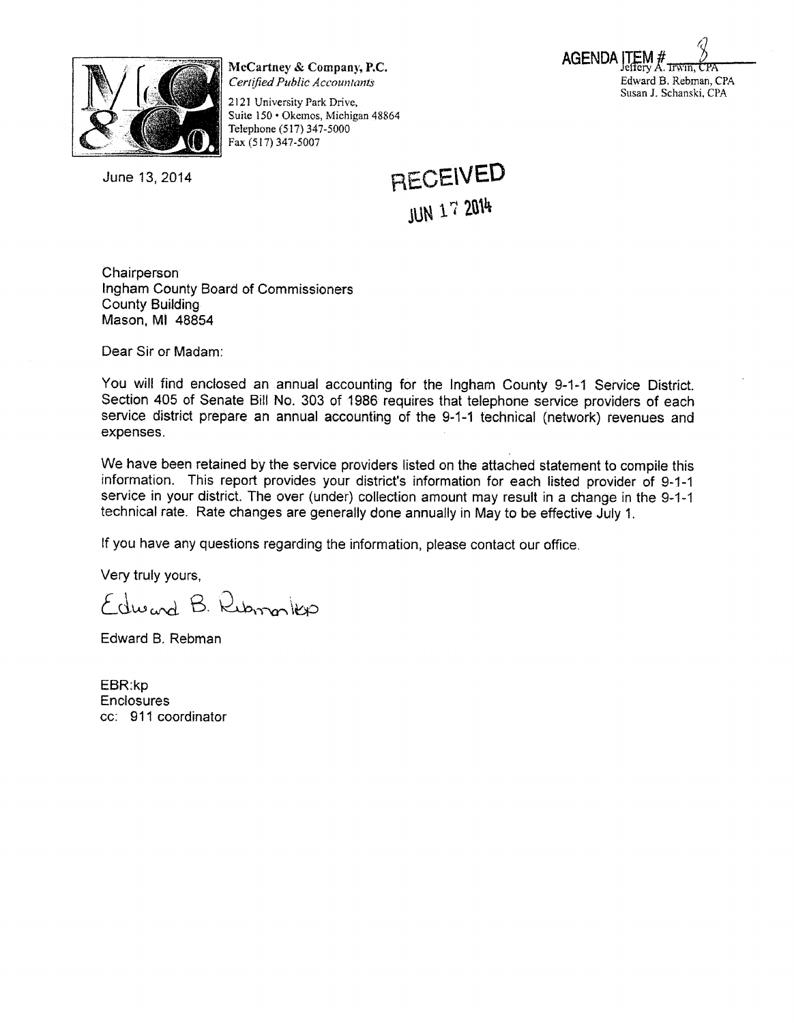

McCartney & Company, P.C. Certified Public Accountants

2121 University Park Drive, Suite 150 · Okemos, Michigan 48864 Telephone (517) 347-5000 Fax (517) 347-5007

June 13, 2014

**RECEIVED JUN 17 2014** 

**AGENDA** 

Edward B. Rebman, CPA Susan J. Schanski, CPA

Chairperson Ingham County Board of Commissioners **County Building** Mason, MI 48854

Dear Sir or Madam:

You will find enclosed an annual accounting for the Ingham County 9-1-1 Service District. Section 405 of Senate Bill No. 303 of 1986 requires that telephone service providers of each service district prepare an annual accounting of the 9-1-1 technical (network) revenues and expenses.

We have been retained by the service providers listed on the attached statement to compile this information. This report provides your district's information for each listed provider of 9-1-1 service in your district. The over (under) collection amount may result in a change in the 9-1-1 technical rate. Rate changes are generally done annually in May to be effective July 1.

If you have any questions regarding the information, please contact our office.

Very truly yours,

Edward B. Rubmonkso

Edward B. Rebman

EBR:kp **Enclosures** cc: 911 coordinator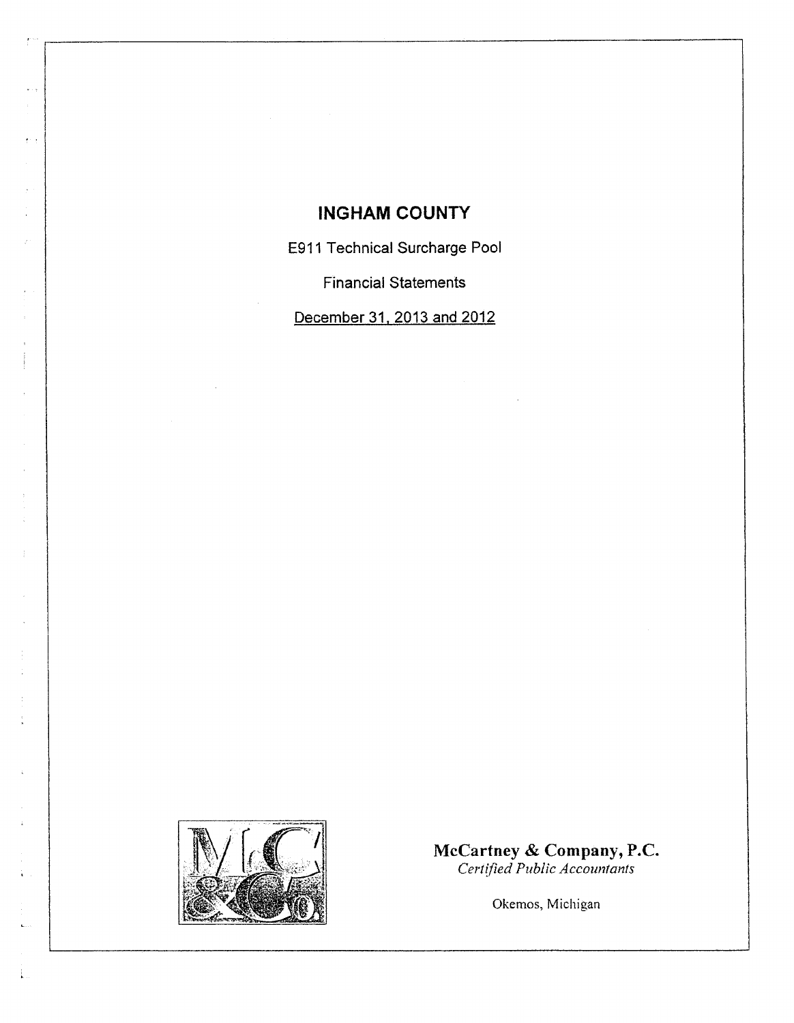# **INGHAM COUNTY**

E911 Technical Surcharge Pool

**Financial Statements** 

December 31, 2013 and 2012



 $\frac{1}{2}$ 

 $\epsilon \sim 5$ 

 $\frac{1}{2}$ 

÷.

 $\frac{3}{4}$ 

McCartney & Company, P.C.<br>Certified Public Accountants

Okemos, Michigan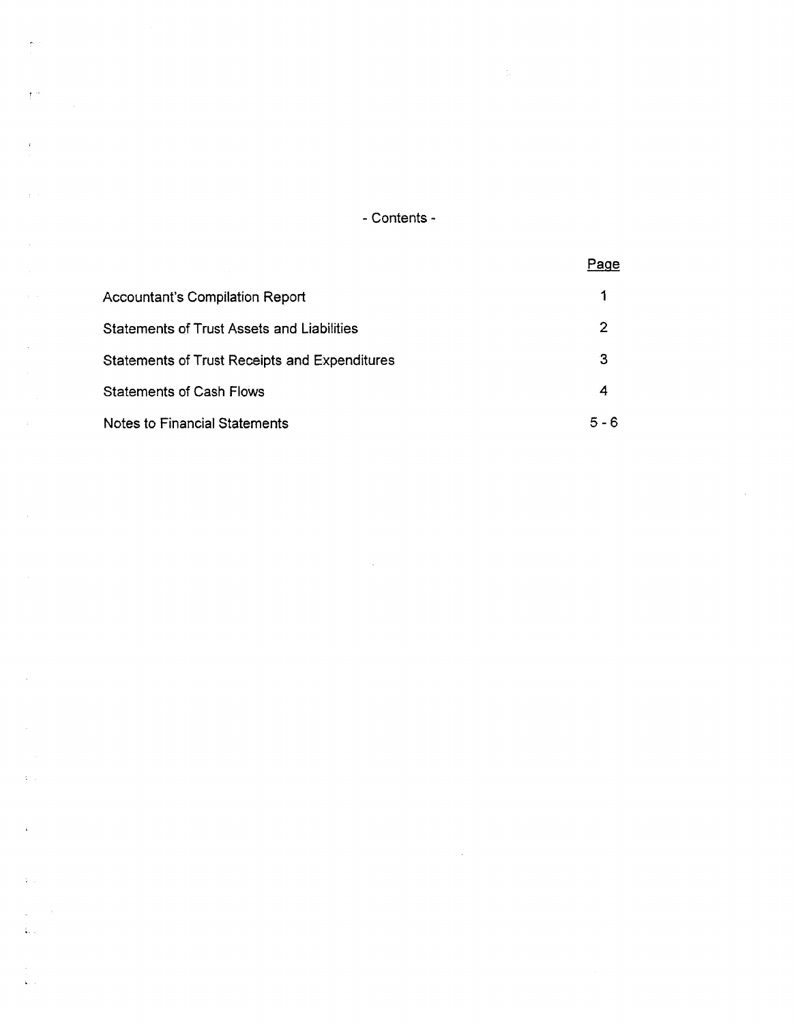- Contents -

 $\sim 10^6$ 

|                                                      | Page  |
|------------------------------------------------------|-------|
| <b>Accountant's Compilation Report</b>               | 1     |
| <b>Statements of Trust Assets and Liabilities</b>    | 2     |
| <b>Statements of Trust Receipts and Expenditures</b> | З     |
| <b>Statements of Cash Flows</b>                      | 4     |
| Notes to Financial Statements                        | 5 - 6 |

 $\label{eq:2.1} \frac{1}{\sqrt{2\pi}}\int_{0}^{\infty}\frac{1}{\sqrt{2\pi}}\left(\frac{1}{\sqrt{2\pi}}\right)^{2\alpha} \frac{1}{\sqrt{2\pi}}\int_{0}^{\infty}\frac{1}{\sqrt{2\pi}}\frac{1}{\sqrt{2\pi}}\frac{1}{\sqrt{2\pi}}\frac{1}{\sqrt{2\pi}}\frac{1}{\sqrt{2\pi}}\frac{1}{\sqrt{2\pi}}\frac{1}{\sqrt{2\pi}}\frac{1}{\sqrt{2\pi}}\frac{1}{\sqrt{2\pi}}\frac{1}{\sqrt{2\pi}}\frac{1}{\sqrt{2\pi}}\frac{$ 

 $\label{eq:2.1} \frac{1}{\sqrt{2}}\left(\frac{1}{\sqrt{2}}\right)^{2} \left(\frac{1}{\sqrt{2}}\right)^{2} \left(\frac{1}{\sqrt{2}}\right)^{2} \left(\frac{1}{\sqrt{2}}\right)^{2} \left(\frac{1}{\sqrt{2}}\right)^{2} \left(\frac{1}{\sqrt{2}}\right)^{2} \left(\frac{1}{\sqrt{2}}\right)^{2} \left(\frac{1}{\sqrt{2}}\right)^{2} \left(\frac{1}{\sqrt{2}}\right)^{2} \left(\frac{1}{\sqrt{2}}\right)^{2} \left(\frac{1}{\sqrt{2}}\right)^{2} \left(\$ 

 $\hat{\tau}^{\pm}$ 

 $\bar{t}^{(m)}$ 

 $\bar{i}$ 

 $\hat{\mathcal{A}}$ 

 $\mathcal{A}^{\mathcal{A}}$ 

 $\mathcal{A}^{\mathcal{A}}$ 

 $\Delta \sim 10^7$ 

 $\zeta$ 

 $\mathcal{L}(\mathcal{A})$  .

 $\frac{1}{\sqrt{2}}$  $\hat{\mathbf{x}}_{\text{new}}$ 

 $\frac{1}{2} \left( \frac{1}{2} \right) \left( \frac{1}{2} \right) \left( \frac{1}{2} \right)$  $\sum_{i=1}^n \frac{1}{i!}$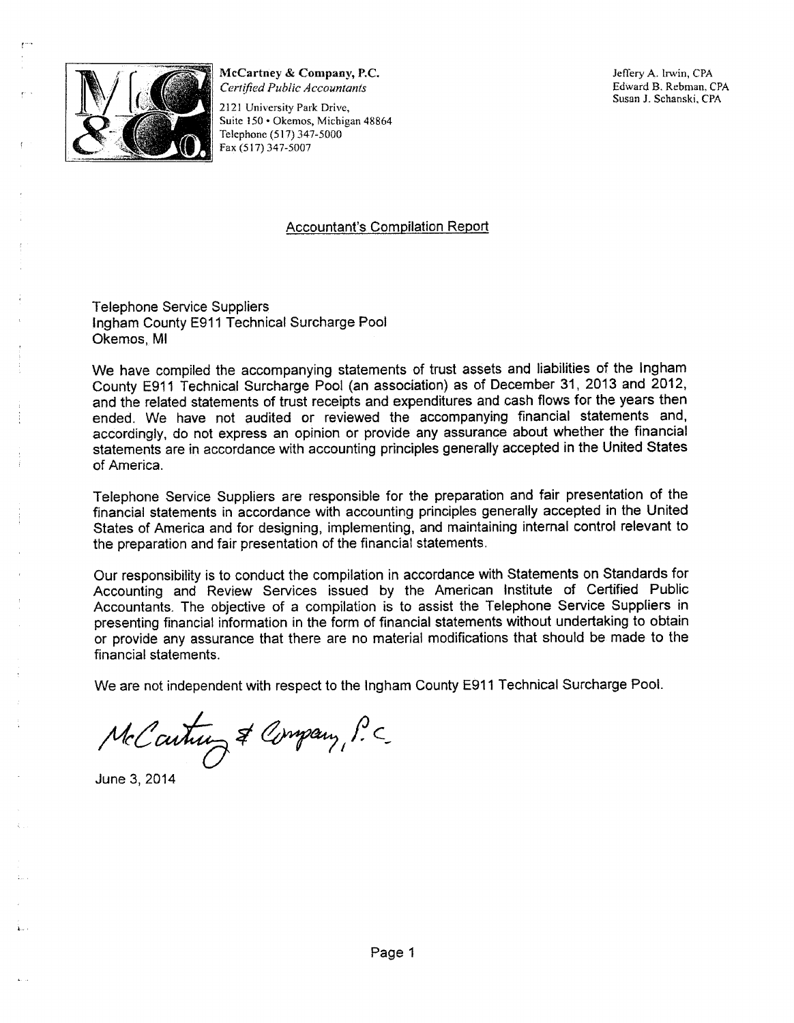

McCartney & Company, P.C. Certified Public Accountants

2121 University Park Drive, Suite 150 · Okemos, Michigan 48864 Telephone (517) 347-5000 Fax (517) 347-5007

Jeffery A. Irwin, CPA Edward B. Rebman, CPA Susan J. Schanski, CPA

#### **Accountant's Compilation Report**

**Telephone Service Suppliers** Ingham County E911 Technical Surcharge Pool Okemos, MI

We have compiled the accompanying statements of trust assets and liabilities of the Ingham County E911 Technical Surcharge Pool (an association) as of December 31, 2013 and 2012, and the related statements of trust receipts and expenditures and cash flows for the years then ended. We have not audited or reviewed the accompanying financial statements and, accordingly, do not express an opinion or provide any assurance about whether the financial statements are in accordance with accounting principles generally accepted in the United States of America.

Telephone Service Suppliers are responsible for the preparation and fair presentation of the financial statements in accordance with accounting principles generally accepted in the United States of America and for designing, implementing, and maintaining internal control relevant to the preparation and fair presentation of the financial statements.

Our responsibility is to conduct the compilation in accordance with Statements on Standards for Accounting and Review Services issued by the American Institute of Certified Public Accountants. The objective of a compilation is to assist the Telephone Service Suppliers in presenting financial information in the form of financial statements without undertaking to obtain or provide any assurance that there are no material modifications that should be made to the financial statements.

We are not independent with respect to the Ingham County E911 Technical Surcharge Pool.

McCartun & Company, P.C.

June 3, 2014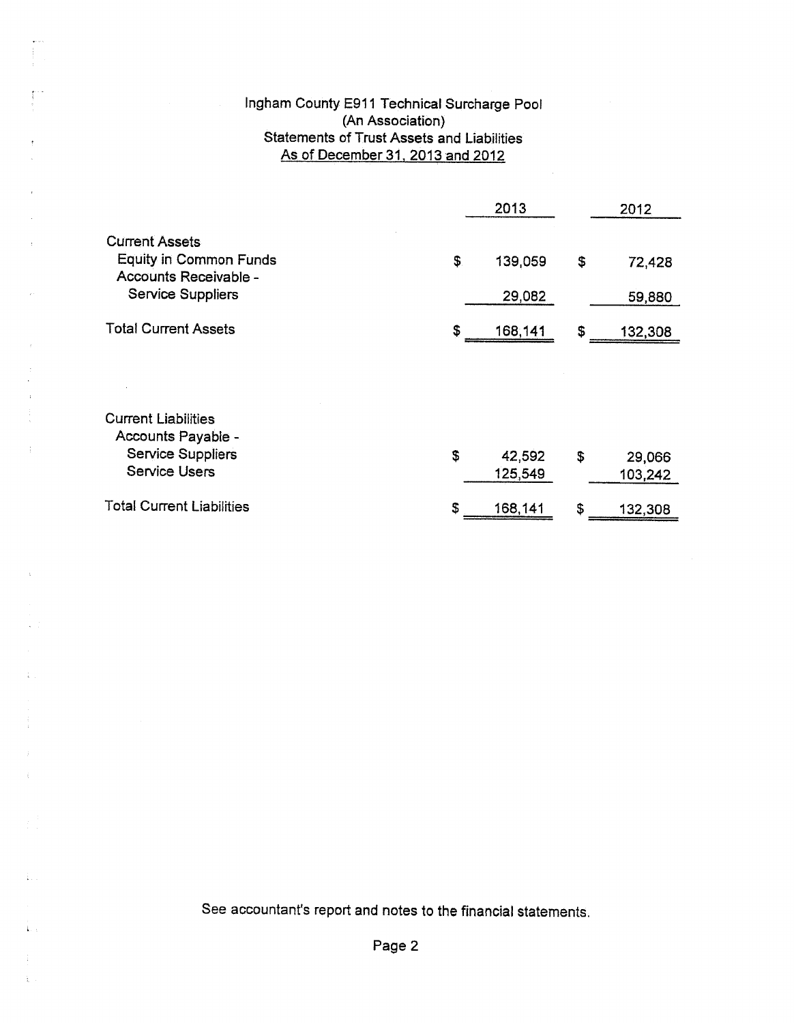#### Ingham County E911 Technical Surcharge Pool (An Association) **Statements of Trust Assets and Liabilities** As of December 31, 2013 and 2012

|                                                                                 |     | 2013    | 2012          |
|---------------------------------------------------------------------------------|-----|---------|---------------|
| <b>Current Assets</b><br><b>Equity in Common Funds</b><br>Accounts Receivable - | \$. | 139,059 | \$<br>72,428  |
| <b>Service Suppliers</b>                                                        |     | 29,082  | 59,880        |
| <b>Total Current Assets</b>                                                     | \$  | 168,141 | \$<br>132,308 |
|                                                                                 |     |         |               |
| <b>Current Liabilities</b><br>Accounts Payable -                                |     |         |               |
| <b>Service Suppliers</b><br><b>Service Users</b>                                | \$  | 42,592  | \$<br>29,066  |
|                                                                                 |     | 125,549 | 103,242       |
| <b>Total Current Liabilities</b>                                                | S   | 168,141 | \$<br>132,308 |

 $\hat{f}$ 

 $\bar{\beta}$ 

 $\frac{1}{2}$ 

 $\langle \cdot \rangle$ 

 $\zeta$ 

 $\frac{1}{4}$  ,  $\frac{1}{2}$ 

 $\hat{\mathbf{L}}$  .

 $\frac{1}{6}$ 

See accountant's report and notes to the financial statements.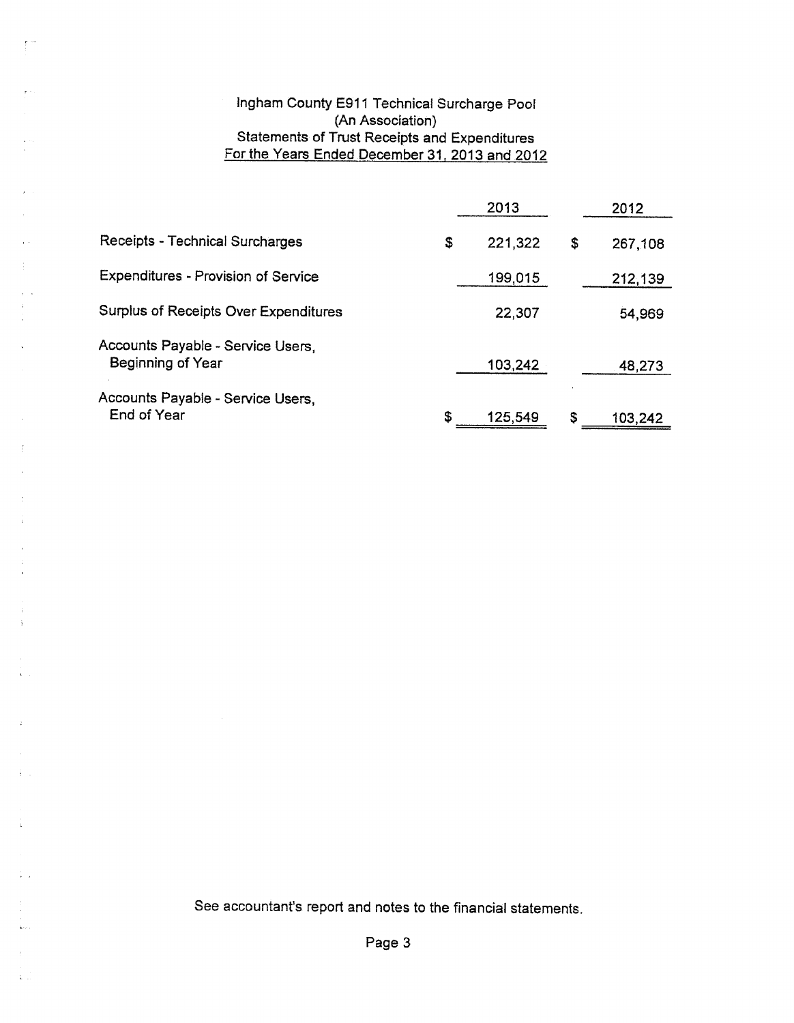#### Ingham County E911 Technical Surcharge Pool (An Association) Statements of Trust Receipts and Expenditures For the Years Ended December 31, 2013 and 2012

 $\frac{1}{2}$ 

 $\lambda$  .

|                                                        | 2013          | 2012          |
|--------------------------------------------------------|---------------|---------------|
| Receipts - Technical Surcharges                        | \$<br>221,322 | \$<br>267,108 |
| <b>Expenditures - Provision of Service</b>             | 199,015       | 212,139       |
| Surplus of Receipts Over Expenditures                  | 22,307        | 54,969        |
| Accounts Payable - Service Users,<br>Beginning of Year | 103,242       | 48,273        |
| Accounts Payable - Service Users,<br>End of Year       | \$<br>125,549 | \$<br>103,242 |

See accountant's report and notes to the financial statements.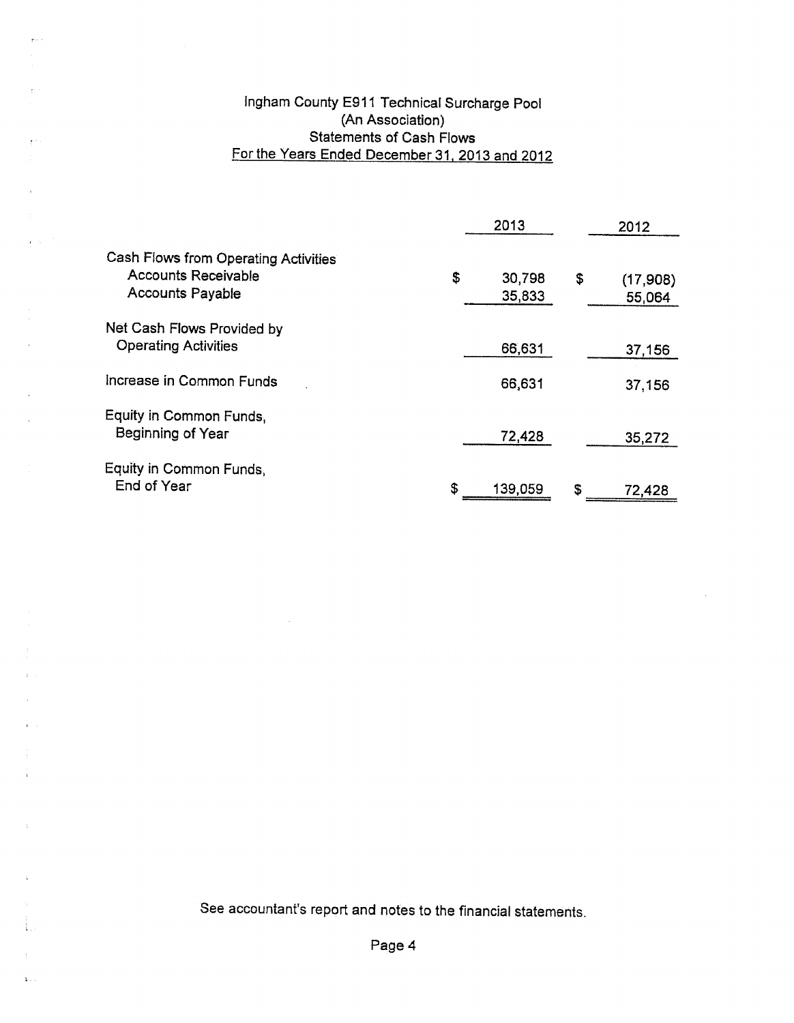## Ingham County E911 Technical Surcharge Pool (An Association) Statements of Cash Flows For the Years Ended December 31, 2013 and 2012

 $\frac{1}{2}$  .

 $\chi$   $<$  .

 $\bar{z}$ 

 $\epsilon$  ,  $\epsilon$ 

 $\bar{z}$ 

 $\Delta$ 

 $\mathbf{r} = \mathbf{r}$ 

 $\chi_{\rm{max}}$ 

|                                                                                               | 2013 |                  | 2012 |                    |
|-----------------------------------------------------------------------------------------------|------|------------------|------|--------------------|
| Cash Flows from Operating Activities<br><b>Accounts Receivable</b><br><b>Accounts Payable</b> | \$   | 30,798<br>35,833 | \$   | (17,908)<br>55,064 |
| Net Cash Flows Provided by<br><b>Operating Activities</b>                                     |      | 66,631           |      | 37,156             |
| Increase in Common Funds                                                                      |      | 66,631           |      | 37,156             |
| Equity in Common Funds,<br>Beginning of Year                                                  |      | 72,428           |      | 35,272             |
| Equity in Common Funds,<br>End of Year                                                        | \$   | 139,059          | S    | 72,428             |

 $\sim 10^7$ 

 $\bar{z}$ 

See accountant's report and notes to the financial statements.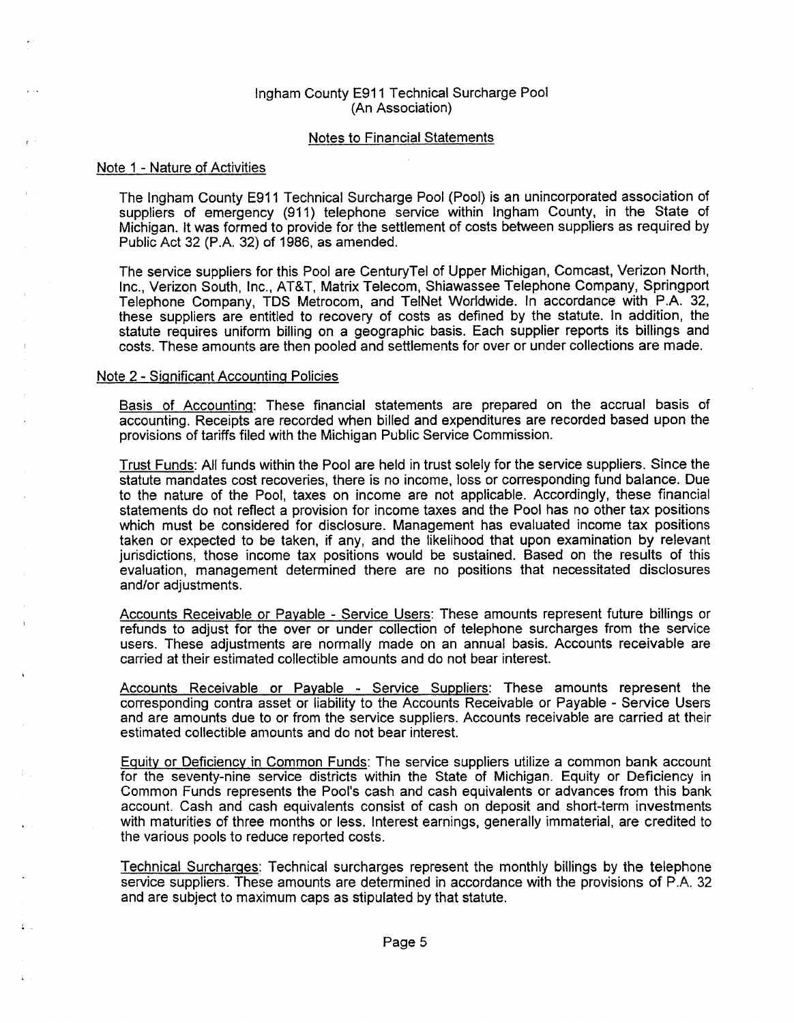#### Ingham County E911 Technical Surcharge Pool (An Association)

#### **Notes to Financial Statements**

#### Note 1 - Nature of Activities

The Ingham County E911 Technical Surcharge Pool (Pool) is an unincorporated association of suppliers of emergency (911) telephone service within Ingham County, in the State of Michigan. It was formed to provide for the settlement of costs between suppliers as required by Public Act 32 (P.A. 32) of 1986, as amended.

The service suppliers for this Pool are CenturyTel of Upper Michigan, Comcast, Verizon North, Inc., Verizon South, Inc., AT&T, Matrix Telecom, Shiawassee Telephone Company, Springport Telephone Company, TDS Metrocom, and TelNet Worldwide. In accordance with P.A. 32, these suppliers are entitled to recovery of costs as defined by the statute. In addition, the statute requires uniform billing on a geographic basis. Each supplier reports its billings and costs. These amounts are then pooled and settlements for over or under collections are made.

#### Note 2 - Significant Accounting Policies

Basis of Accounting: These financial statements are prepared on the accrual basis of accounting. Receipts are recorded when billed and expenditures are recorded based upon the provisions of tariffs filed with the Michigan Public Service Commission.

Trust Funds: All funds within the Pool are held in trust solely for the service suppliers. Since the statute mandates cost recoveries, there is no income, loss or corresponding fund balance. Due to the nature of the Pool, taxes on income are not applicable. Accordingly, these financial statements do not reflect a provision for income taxes and the Pool has no other tax positions which must be considered for disclosure. Management has evaluated income tax positions taken or expected to be taken, if any, and the likelihood that upon examination by relevant jurisdictions, those income tax positions would be sustained. Based on the results of this evaluation, management determined there are no positions that necessitated disclosures and/or adjustments.

Accounts Receivable or Payable - Service Users: These amounts represent future billings or refunds to adjust for the over or under collection of telephone surcharges from the service users. These adjustments are normally made on an annual basis. Accounts receivable are carried at their estimated collectible amounts and do not bear interest.

Accounts Receivable or Payable - Service Suppliers: These amounts represent the corresponding contra asset or liability to the Accounts Receivable or Payable - Service Users and are amounts due to or from the service suppliers. Accounts receivable are carried at their estimated collectible amounts and do not bear interest.

Equity or Deficiency in Common Funds: The service suppliers utilize a common bank account for the seventy-nine service districts within the State of Michigan. Equity or Deficiency in Common Funds represents the Pool's cash and cash equivalents or advances from this bank account. Cash and cash equivalents consist of cash on deposit and short-term investments with maturities of three months or less. Interest earnings, generally immaterial, are credited to the various pools to reduce reported costs.

**Technical Surcharges:** Technical surcharges represent the monthly billings by the telephone service suppliers. These amounts are determined in accordance with the provisions of P.A. 32 and are subject to maximum caps as stipulated by that statute.